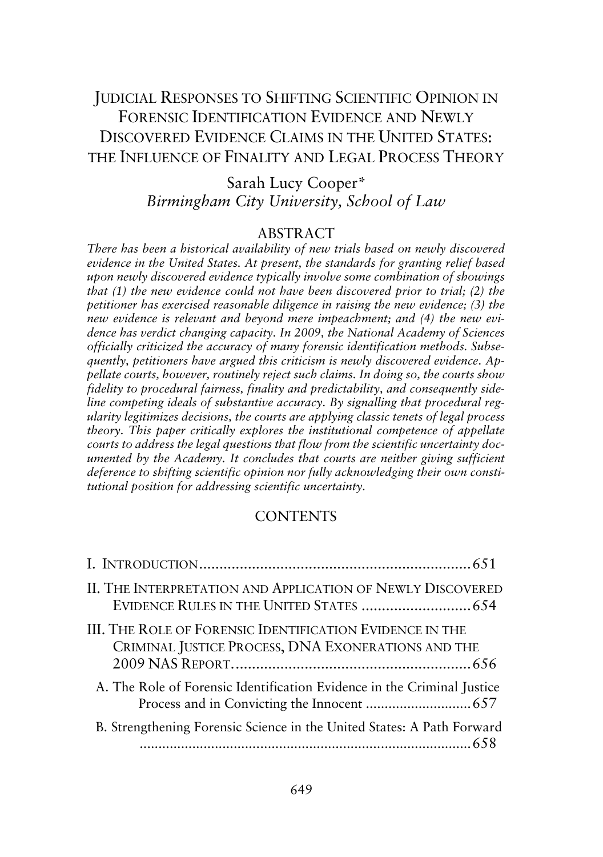# JUDICIAL RESPONSES TO SHIFTING SCIENTIFIC OPINION IN FORENSIC IDENTIFICATION EVIDENCE AND NEWLY DISCOVERED EVIDENCE CLAIMS IN THE UNITED STATES: THE INFLUENCE OF FINALITY AND LEGAL PROCESS THEORY

Sarah Lucy Cooper\* *Birmingham City University, School of Law*

# ABSTRACT

*There has been a historical availability of new trials based on newly discovered evidence in the United States. At present, the standards for granting relief based upon newly discovered evidence typically involve some combination of showings that (1) the new evidence could not have been discovered prior to trial; (2) the petitioner has exercised reasonable diligence in raising the new evidence; (3) the new evidence is relevant and beyond mere impeachment; and (4) the new evidence has verdict changing capacity. In 2009, the National Academy of Sciences officially criticized the accuracy of many forensic identification methods. Subsequently, petitioners have argued this criticism is newly discovered evidence. Appellate courts, however, routinely reject such claims. In doing so, the courts show fidelity to procedural fairness, finality and predictability, and consequently sideline competing ideals of substantive accuracy. By signalling that procedural regularity legitimizes decisions, the courts are applying classic tenets of legal process theory. This paper critically explores the institutional competence of appellate courts to address the legal questions that flow from the scientific uncertainty documented by the Academy. It concludes that courts are neither giving sufficient deference to shifting scientific opinion nor fully acknowledging their own constitutional position for addressing scientific uncertainty.*

# **CONTENTS**

| II. THE INTERPRETATION AND APPLICATION OF NEWLY DISCOVERED                                                            |  |
|-----------------------------------------------------------------------------------------------------------------------|--|
| <b>III. THE ROLE OF FORENSIC IDENTIFICATION EVIDENCE IN THE</b><br>CRIMINAL JUSTICE PROCESS, DNA EXONERATIONS AND THE |  |
| A. The Role of Forensic Identification Evidence in the Criminal Justice                                               |  |
| B. Strengthening Forensic Science in the United States: A Path Forward                                                |  |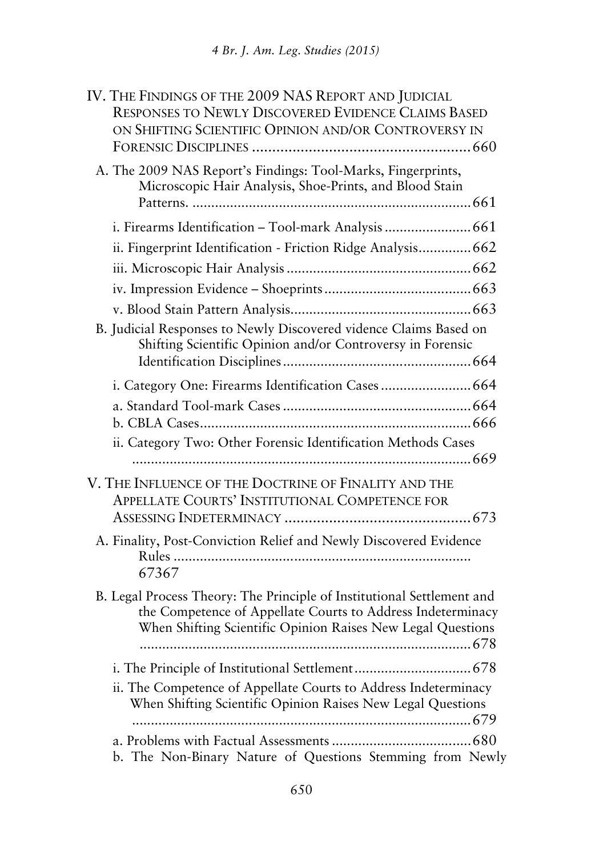| IV. THE FINDINGS OF THE 2009 NAS REPORT AND JUDICIAL<br><b>RESPONSES TO NEWLY DISCOVERED EVIDENCE CLAIMS BASED</b>                                                                                   |  |
|------------------------------------------------------------------------------------------------------------------------------------------------------------------------------------------------------|--|
| ON SHIFTING SCIENTIFIC OPINION AND/OR CONTROVERSY IN                                                                                                                                                 |  |
| A. The 2009 NAS Report's Findings: Tool-Marks, Fingerprints,<br>Microscopic Hair Analysis, Shoe-Prints, and Blood Stain                                                                              |  |
| i. Firearms Identification - Tool-mark Analysis  661                                                                                                                                                 |  |
| ii. Fingerprint Identification - Friction Ridge Analysis 662                                                                                                                                         |  |
|                                                                                                                                                                                                      |  |
|                                                                                                                                                                                                      |  |
|                                                                                                                                                                                                      |  |
| B. Judicial Responses to Newly Discovered vidence Claims Based on<br>Shifting Scientific Opinion and/or Controversy in Forensic                                                                      |  |
|                                                                                                                                                                                                      |  |
|                                                                                                                                                                                                      |  |
| ii. Category Two: Other Forensic Identification Methods Cases                                                                                                                                        |  |
| V. THE INFLUENCE OF THE DOCTRINE OF FINALITY AND THE<br>APPELLATE COURTS' INSTITUTIONAL COMPETENCE FOR                                                                                               |  |
| A. Finality, Post-Conviction Relief and Newly Discovered Evidence<br>67367                                                                                                                           |  |
| B. Legal Process Theory: The Principle of Institutional Settlement and<br>the Competence of Appellate Courts to Address Indeterminacy<br>When Shifting Scientific Opinion Raises New Legal Questions |  |
|                                                                                                                                                                                                      |  |
| ii. The Competence of Appellate Courts to Address Indeterminacy<br>When Shifting Scientific Opinion Raises New Legal Questions                                                                       |  |
|                                                                                                                                                                                                      |  |
| b. The Non-Binary Nature of Questions Stemming from Newly                                                                                                                                            |  |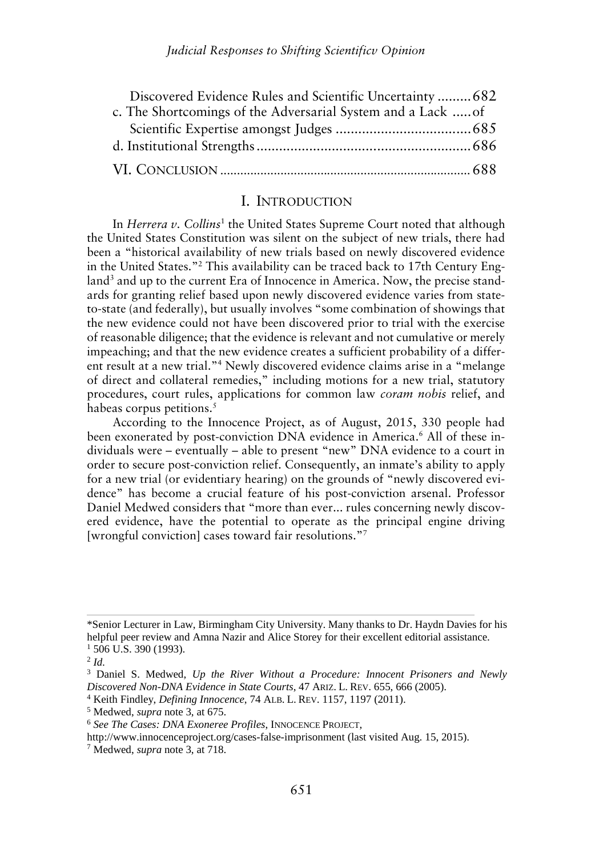| Discovered Evidence Rules and Scientific Uncertainty  682    |  |
|--------------------------------------------------------------|--|
| c. The Shortcomings of the Adversarial System and a Lack  of |  |
|                                                              |  |
|                                                              |  |
|                                                              |  |

### I. INTRODUCTION

In *Herrera v*. Collins<sup>1</sup> the United States Supreme Court noted that although the United States Constitution was silent on the subject of new trials, there had been a "historical availability of new trials based on newly discovered evidence in the United States."<sup>2</sup> This availability can be traced back to 17th Century England<sup>3</sup> and up to the current Era of Innocence in America. Now, the precise standards for granting relief based upon newly discovered evidence varies from stateto-state (and federally), but usually involves "some combination of showings that the new evidence could not have been discovered prior to trial with the exercise of reasonable diligence; that the evidence is relevant and not cumulative or merely impeaching; and that the new evidence creates a sufficient probability of a different result at a new trial."<sup>4</sup> Newly discovered evidence claims arise in a "melange of direct and collateral remedies," including motions for a new trial, statutory procedures, court rules, applications for common law *coram nobis* relief, and habeas corpus petitions.<sup>5</sup>

According to the Innocence Project, as of August, 2015, 330 people had been exonerated by post-conviction DNA evidence in America.<sup>6</sup> All of these individuals were – eventually – able to present "new" DNA evidence to a court in order to secure post-conviction relief. Consequently, an inmate's ability to apply for a new trial (or evidentiary hearing) on the grounds of "newly discovered evidence" has become a crucial feature of his post-conviction arsenal. Professor Daniel Medwed considers that "more than ever... rules concerning newly discovered evidence, have the potential to operate as the principal engine driving [wrongful conviction] cases toward fair resolutions."<sup>7</sup>

<sup>\*</sup>Senior Lecturer in Law, Birmingham City University. Many thanks to Dr. Haydn Davies for his helpful peer review and Amna Nazir and Alice Storey for their excellent editorial assistance.  $1$  506 U.S. 390 (1993).

<sup>2</sup> *Id.*

<sup>3</sup> Daniel S. Medwed, *Up the River Without a Procedure: Innocent Prisoners and Newly Discovered Non-DNA Evidence in State Courts*, 47 ARIZ. L. REV. 655, 666 (2005).

<sup>4</sup> Keith Findley, *Defining Innocence*, 74 ALB. L. REV. 1157, 1197 (2011).

<sup>5</sup> Medwed, *supra* note 3, at 675.

<sup>6</sup> *See The Cases: DNA Exoneree Profiles*, INNOCENCE PROJECT,

http://www.innocenceproject.org/cases-false-imprisonment (last visited Aug. 15, 2015).

<sup>7</sup> Medwed, *supra* note 3, at 718.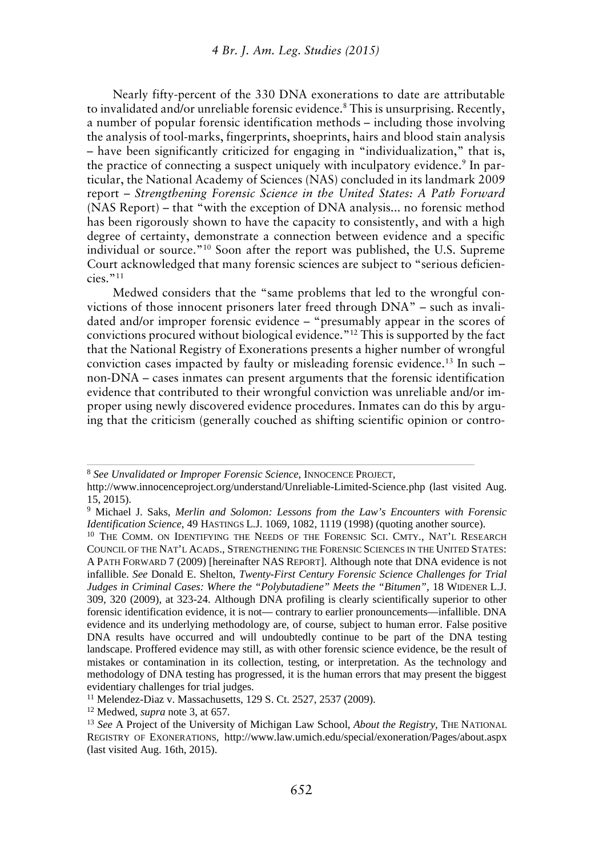Nearly fifty-percent of the 330 DNA exonerations to date are attributable to invalidated and/or unreliable forensic evidence.<sup>8</sup> This is unsurprising. Recently, a number of popular forensic identification methods – including those involving the analysis of tool-marks, fingerprints, shoeprints, hairs and blood stain analysis – have been significantly criticized for engaging in "individualization," that is, the practice of connecting a suspect uniquely with inculpatory evidence.<sup>9</sup> In particular, the National Academy of Sciences (NAS) concluded in its landmark 2009 report – *Strengthening Forensic Science in the United States: A Path Forward* (NAS Report) – that "with the exception of DNA analysis... no forensic method has been rigorously shown to have the capacity to consistently, and with a high degree of certainty, demonstrate a connection between evidence and a specific individual or source."<sup>10</sup> Soon after the report was published, the U.S. Supreme Court acknowledged that many forensic sciences are subject to "serious deficiencies."<sup>11</sup>

Medwed considers that the "same problems that led to the wrongful convictions of those innocent prisoners later freed through DNA" – such as invalidated and/or improper forensic evidence – "presumably appear in the scores of convictions procured without biological evidence."<sup>12</sup> This is supported by the fact that the National Registry of Exonerations presents a higher number of wrongful conviction cases impacted by faulty or misleading forensic evidence.<sup>13</sup> In such – non-DNA – cases inmates can present arguments that the forensic identification evidence that contributed to their wrongful conviction was unreliable and/or improper using newly discovered evidence procedures. Inmates can do this by arguing that the criticism (generally couched as shifting scientific opinion or contro-

<sup>8</sup> *See Unvalidated or Improper Forensic Science*, INNOCENCE PROJECT,

http://www.innocenceproject.org/understand/Unreliable-Limited-Science.php (last visited Aug. 15, 2015).

<sup>9</sup> Michael J. Saks, *Merlin and Solomon: Lessons from the Law's Encounters with Forensic Identification Science*, 49 HASTINGS L.J. 1069, 1082, 1119 (1998) (quoting another source).

<sup>&</sup>lt;sup>10</sup> THE COMM. ON IDENTIFYING THE NEEDS OF THE FORENSIC SCI. CMTY., NAT'L RESEARCH COUNCIL OF THE NAT'L ACADS., STRENGTHENING THE FORENSIC SCIENCES IN THE UNITED STATES: A PATH FORWARD 7 (2009) [hereinafter NAS REPORT]. Although note that DNA evidence is not infallible. *See* Donald E. Shelton, *Twenty-First Century Forensic Science Challenges for Trial Judges in Criminal Cases: Where the "Polybutadiene" Meets the "Bitumen",* 18 WIDENER L.J. 309, 320 (2009), at 323-24. Although DNA profiling is clearly scientifically superior to other forensic identification evidence, it is not— contrary to earlier pronouncements—infallible. DNA evidence and its underlying methodology are, of course, subject to human error. False positive DNA results have occurred and will undoubtedly continue to be part of the DNA testing landscape. Proffered evidence may still, as with other forensic science evidence, be the result of mistakes or contamination in its collection, testing, or interpretation. As the technology and methodology of DNA testing has progressed, it is the human errors that may present the biggest evidentiary challenges for trial judges.

<sup>11</sup> Melendez-Diaz v. Massachusetts, 129 S. Ct. 2527, 2537 (2009).

<sup>12</sup> Medwed, *supra* note 3, at 657.

<sup>13</sup> *See* A Project of the University of Michigan Law School, *About the Registry,* THE NATIONAL REGISTRY OF EXONERATIONS, http://www.law.umich.edu/special/exoneration/Pages/about.aspx (last visited Aug. 16th, 2015).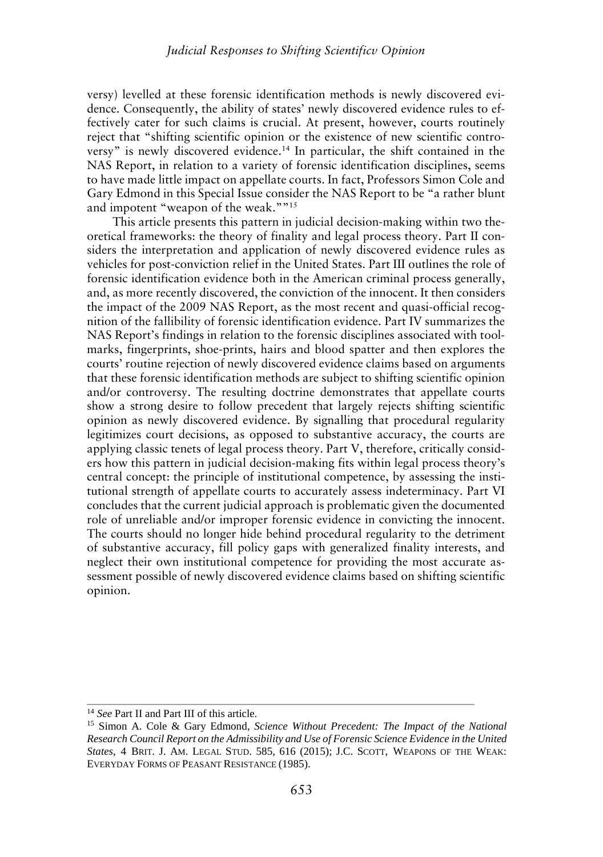versy) levelled at these forensic identification methods is newly discovered evidence. Consequently, the ability of states' newly discovered evidence rules to effectively cater for such claims is crucial. At present, however, courts routinely reject that "shifting scientific opinion or the existence of new scientific controversy" is newly discovered evidence.<sup>14</sup> In particular, the shift contained in the NAS Report, in relation to a variety of forensic identification disciplines, seems to have made little impact on appellate courts. In fact, Professors Simon Cole and Gary Edmond in this Special Issue consider the NAS Report to be "a rather blunt and impotent "weapon of the weak.""<sup>15</sup>

This article presents this pattern in judicial decision-making within two theoretical frameworks: the theory of finality and legal process theory. Part II considers the interpretation and application of newly discovered evidence rules as vehicles for post-conviction relief in the United States. Part III outlines the role of forensic identification evidence both in the American criminal process generally, and, as more recently discovered, the conviction of the innocent. It then considers the impact of the 2009 NAS Report, as the most recent and quasi-official recognition of the fallibility of forensic identification evidence. Part IV summarizes the NAS Report's findings in relation to the forensic disciplines associated with tool marks, fingerprints, shoe-prints, hairs and blood spatter and then explores the courts' routine rejection of newly discovered evidence claims based on arguments that these forensic identification methods are subject to shifting scientific opinion and/or controversy. The resulting doctrine demonstrates that appellate courts show a strong desire to follow precedent that largely rejects shifting scientific opinion as newly discovered evidence. By signalling that procedural regularity legitimizes court decisions, as opposed to substantive accuracy, the courts are applying classic tenets of legal process theory. Part V, therefore, critically considers how this pattern in judicial decision-making fits within legal process theory's central concept: the principle of institutional competence, by assessing the institutional strength of appellate courts to accurately assess indeterminacy. Part VI concludes that the current judicial approach is problematic given the documented role of unreliable and/or improper forensic evidence in convicting the innocent. The courts should no longer hide behind procedural regularity to the detriment of substantive accuracy, fill policy gaps with generalized finality interests, and neglect their own institutional competence for providing the most accurate assessment possible of newly discovered evidence claims based on shifting scientific opinion.

<sup>&</sup>lt;sup>14</sup> See Part II and Part III of this article.

<sup>15</sup> Simon A. Cole & Gary Edmond, *Science Without Precedent: The Impact of the National Research Council Report on the Admissibility and Use of Forensic Science Evidence in the United States*, 4 BRIT. J. AM. LEGAL STUD. 585, 616 (2015); J.C. SCOTT, WEAPONS OF THE WEAK: EVERYDAY FORMS OF PEASANT RESISTANCE (1985).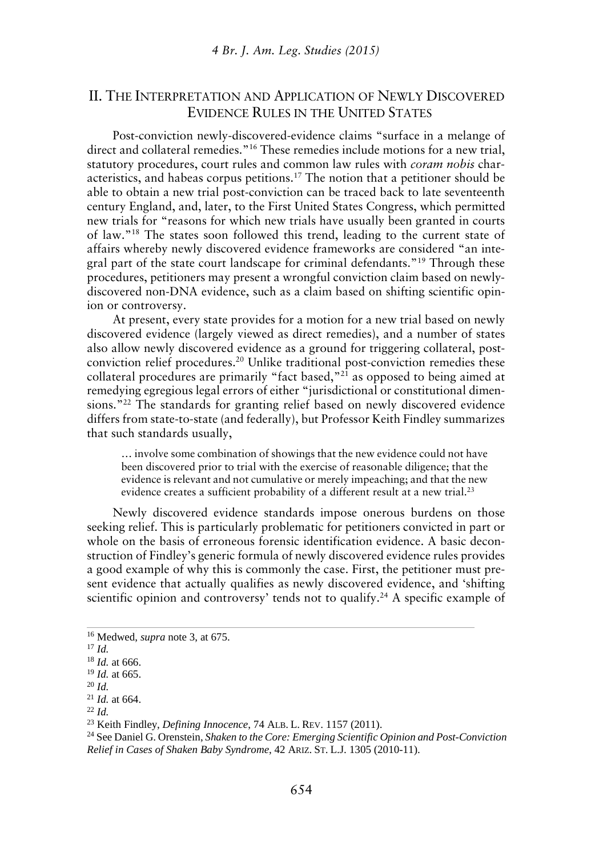# II. THE INTERPRETATION AND APPLICATION OF NEWLY DISCOVERED EVIDENCE RULES IN THE UNITED STATES

Post-conviction newly-discovered-evidence claims "surface in a melange of direct and collateral remedies."<sup>16</sup> These remedies include motions for a new trial, statutory procedures, court rules and common law rules with *coram nobis* characteristics, and habeas corpus petitions.<sup>17</sup> The notion that a petitioner should be able to obtain a new trial post-conviction can be traced back to late seventeenth century England, and, later, to the First United States Congress, which permitted new trials for "reasons for which new trials have usually been granted in courts of law."<sup>18</sup> The states soon followed this trend, leading to the current state of affairs whereby newly discovered evidence frameworks are considered "an integral part of the state court landscape for criminal defendants."<sup>19</sup> Through these procedures, petitioners may present a wrongful conviction claim based on newly discovered non-DNA evidence, such as a claim based on shifting scientific opinion or controversy.

At present, every state provides for a motion for a new trial based on newly discovered evidence (largely viewed as direct remedies), and a number of states also allow newly discovered evidence as a ground for triggering collateral, post conviction relief procedures.<sup>20</sup> Unlike traditional post-conviction remedies these collateral procedures are primarily "fact based,"<sup>21</sup> as opposed to being aimed at remedying egregious legal errors of either "jurisdictional or constitutional dimensions."<sup>22</sup> The standards for granting relief based on newly discovered evidence differs from state-to-state (and federally), but Professor Keith Findley summarizes that such standards usually,

… involve some combination of showings that the new evidence could not have been discovered prior to trial with the exercise of reasonable diligence; that the evidence is relevant and not cumulative or merely impeaching; and that the new evidence creates a sufficient probability of a different result at a new trial.<sup>23</sup>

Newly discovered evidence standards impose onerous burdens on those seeking relief. This is particularly problematic for petitioners convicted in part or whole on the basis of erroneous forensic identification evidence. A basic deconstruction of Findley's generic formula of newly discovered evidence rules provides a good example of why this is commonly the case. First, the petitioner must present evidence that actually qualifies as newly discovered evidence, and 'shifting scientific opinion and controversy' tends not to qualify.<sup>24</sup> A specific example of

<sup>20</sup> *Id.*

<sup>22</sup> *Id.*

<sup>24</sup> See Daniel G. Orenstein, *Shaken to the Core: Emerging Scientific Opinion and Post-Conviction Relief in Cases of Shaken Baby Syndrome*, 42 ARIZ. ST. L.J. 1305 (2010-11).

<sup>16</sup> Medwed, *supra* note 3, at 675.

<sup>17</sup> *Id.*

<sup>18</sup> *Id.* at 666.

<sup>19</sup> *Id.* at 665.

<sup>21</sup> *Id.* at 664.

<sup>23</sup> Keith Findley, *Defining Innocence*, 74 ALB. L. REV. 1157 (2011).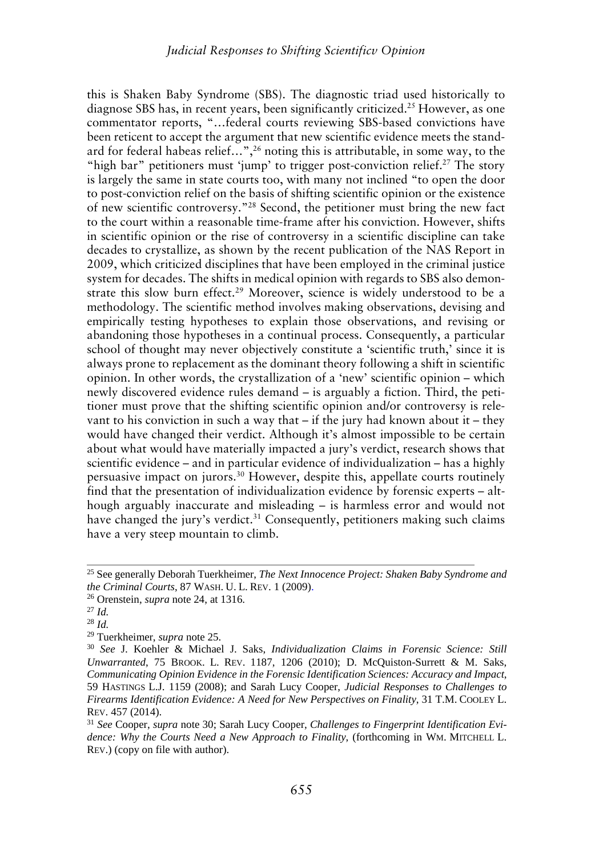this is Shaken Baby Syndrome (SBS). The diagnostic triad used historically to diagnose SBS has, in recent years, been significantly criticized.<sup>25</sup> However, as one commentator reports, "…federal courts reviewing SBS-based convictions have been reticent to accept the argument that new scientific evidence meets the standard for federal habeas relief...",<sup>26</sup> noting this is attributable, in some way, to the "high bar" petitioners must 'jump' to trigger post-conviction relief.<sup>27</sup> The story is largely the same in state courts too, with many not inclined "to open the door to post-conviction relief on the basis of shifting scientific opinion or the existence of new scientific controversy."<sup>28</sup> Second, the petitioner must bring the new fact to the court within a reasonable time-frame after his conviction. However, shifts in scientific opinion or the rise of controversy in a scientific discipline can take decades to crystallize, as shown by the recent publication of the NAS Report in 2009, which criticized disciplines that have been employed in the criminal justice system for decades. The shifts in medical opinion with regards to SBS also demonstrate this slow burn effect.<sup>29</sup> Moreover, science is widely understood to be a methodology. The scientific method involves making observations, devising and empirically testing hypotheses to explain those observations, and revising or abandoning those hypotheses in a continual process. Consequently, a particular school of thought may never objectively constitute a 'scientific truth,' since it is always prone to replacement as the dominant theory following a shift in scientific opinion. In other words, the crystallization of a 'new' scientific opinion – which newly discovered evidence rules demand – is arguably a fiction. Third, the petitioner must prove that the shifting scientific opinion and/or controversy is relevant to his conviction in such a way that  $-$  if the jury had known about it  $-$  they would have changed their verdict. Although it's almost impossible to be certain about what would have materially impacted a jury's verdict, research shows that scientific evidence – and in particular evidence of individualization – has a highly persuasive impact on jurors.<sup>30</sup> However, despite this, appellate courts routinely find that the presentation of individualization evidence by forensic experts – although arguably inaccurate and misleading – is harmless error and would not have changed the jury's verdict.<sup>31</sup> Consequently, petitioners making such claims have a very steep mountain to climb.

<sup>29</sup> Tuerkheimer, *supra* note 25.

<sup>25</sup> See generally Deborah Tuerkheimer, *The Next Innocence Project: Shaken Baby Syndrome and the Criminal Courts*, 87 WASH. U. L. REV. 1 (2009).

<sup>26</sup> Orenstein, *supra* note 24, at 1316.

<sup>27</sup> *Id.*

<sup>28</sup> *Id.*

<sup>30</sup> *See* J. Koehler & Michael J. Saks, *Individualization Claims in Forensic Science: Still Unwarranted*, 75 BROOK. L. REV. 1187, 1206 (2010); D. McQuiston-Surrett & M. Saks, *Communicating Opinion Evidence in the Forensic Identification Sciences: Accuracy and Impact*, 59 HASTINGS L.J. 1159 (2008); and Sarah Lucy Cooper, *Judicial Responses to Challenges to Firearms Identification Evidence: A Need for New Perspectives on Finality*, 31 T.M. COOLEY L. REV. 457 (2014).

<sup>31</sup> *See* Cooper, *supra* note 30; Sarah Lucy Cooper, *Challenges to Fingerprint Identification Evidence: Why the Courts Need a New Approach to Finality*, (forthcoming in WM. MITCHELL L. REV.) (copy on file with author).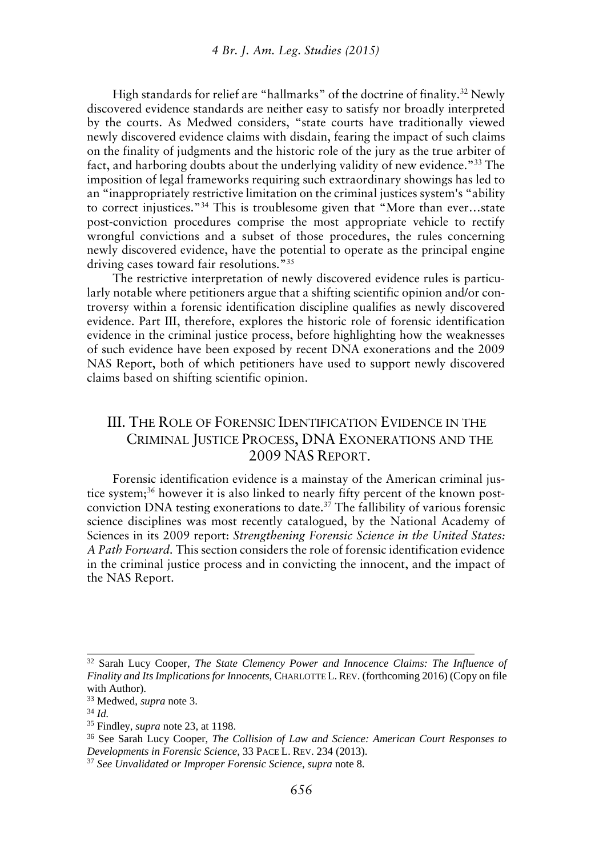High standards for relief are "hallmarks" of the doctrine of finality.<sup>32</sup> Newly discovered evidence standards are neither easy to satisfy nor broadly interpreted by the courts. As Medwed considers, "state courts have traditionally viewed newly discovered evidence claims with disdain, fearing the impact of such claims on the finality of judgments and the historic role of the jury as the true arbiter of fact, and harboring doubts about the underlying validity of new evidence."<sup>33</sup> The imposition of legal frameworks requiring such extraordinary showings has led to an "inappropriately restrictive limitation on the criminal justices system's "ability to correct injustices."<sup>34</sup> This is troublesome given that "More than ever…state post-conviction procedures comprise the most appropriate vehicle to rectify wrongful convictions and a subset of those procedures, the rules concerning newly discovered evidence, have the potential to operate as the principal engine driving cases toward fair resolutions."<sup>35</sup>

The restrictive interpretation of newly discovered evidence rules is particularly notable where petitioners argue that a shifting scientific opinion and/or controversy within a forensic identification discipline qualifies as newly discovered evidence. Part III, therefore, explores the historic role of forensic identification evidence in the criminal justice process, before highlighting how the weaknesses of such evidence have been exposed by recent DNA exonerations and the 2009 NAS Report, both of which petitioners have used to support newly discovered claims based on shifting scientific opinion.

# III. THE ROLE OF FORENSIC IDENTIFICATION EVIDENCE IN THE CRIMINAL JUSTICE PROCESS, DNA EXONERATIONS AND THE 2009 NAS REPORT.

Forensic identification evidence is a mainstay of the American criminal justice system;<sup>36</sup> however it is also linked to nearly fifty percent of the known post conviction DNA testing exonerations to date.<sup>37</sup> The fallibility of various forensic science disciplines was most recently catalogued, by the National Academy of Sciences in its 2009 report: *Strengthening Forensic Science in the United States: A Path Forward.* This section considers the role of forensic identification evidence in the criminal justice process and in convicting the innocent, and the impact of the NAS Report.

<sup>32</sup> Sarah Lucy Cooper, *The State Clemency Power and Innocence Claims: The Influence of Finality and Its Implications for Innocents*, CHARLOTTE L.REV. (forthcoming 2016) (Copy on file with Author).

<sup>33</sup> Medwed, *supra* note 3.

<sup>34</sup> *Id.*

<sup>35</sup> Findley, *supra* note 23, at 1198.

<sup>36</sup> See Sarah Lucy Cooper, *The Collision of Law and Science: American Court Responses to Developments in Forensic Science*, 33 PACE L. REV. 234 (2013).

<sup>37</sup> *See Unvalidated or Improper Forensic Science*, *supra* note 8.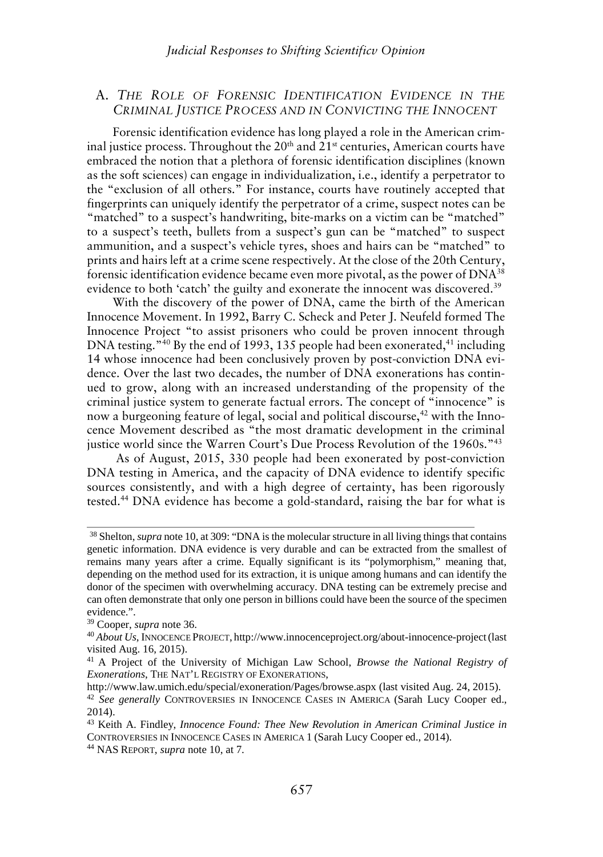### A. *THE ROLE OF FORENSIC IDENTIFICATION EVIDENCE IN THE CRIMINAL JUSTICE PROCESS AND IN CONVICTING THE INNOCENT*

Forensic identification evidence has long played a role in the American criminal justice process. Throughout the  $20<sup>th</sup>$  and  $21<sup>st</sup>$  centuries, American courts have embraced the notion that a plethora of forensic identification disciplines (known as the soft sciences) can engage in individualization, i.e., identify a perpetrator to the "exclusion of all others." For instance, courts have routinely accepted that fingerprints can uniquely identify the perpetrator of a crime, suspect notes can be "matched" to a suspect's handwriting, bite-marks on a victim can be "matched" to a suspect's teeth, bullets from a suspect's gun can be "matched" to suspect ammunition, and a suspect's vehicle tyres, shoes and hairs can be "matched" to prints and hairs left at a crime scene respectively. At the close of the 20th Century, forensic identification evidence became even more pivotal, as the power of DNA<sup>38</sup> evidence to both 'catch' the guilty and exonerate the innocent was discovered.<sup>39</sup>

With the discovery of the power of DNA, came the birth of the American Innocence Movement. In 1992, Barry C. Scheck and Peter J. Neufeld formed The Innocence Project "to assist prisoners who could be proven innocent through DNA testing."<sup>40</sup> By the end of 1993, 135 people had been exonerated,<sup>41</sup> including 14 whose innocence had been conclusively proven by post-conviction DNA evidence. Over the last two decades, the number of DNA exonerations has continued to grow, along with an increased understanding of the propensity of the criminal justice system to generate factual errors. The concept of "innocence" is now a burgeoning feature of legal, social and political discourse,<sup>42</sup> with the Innocence Movement described as "the most dramatic development in the criminal justice world since the Warren Court's Due Process Revolution of the 1960s."<sup>43</sup>

As of August, 2015, 330 people had been exonerated by post-conviction DNA testing in America, and the capacity of DNA evidence to identify specific sources consistently, and with a high degree of certainty, has been rigorously tested.<sup>44</sup> DNA evidence has become a gold-standard, raising the bar for what is

<sup>38</sup> Shelton,*supra* note 10, at 309: "DNA is the molecular structure in all living things that contains genetic information. DNA evidence is very durable and can be extracted from the smallest of remains many years after a crime. Equally significant is its "polymorphism," meaning that, depending on the method used for its extraction, it is unique among humans and can identify the donor of the specimen with overwhelming accuracy. DNA testing can be extremely precise and can often demonstrate that only one person in billions could have been the source of the specimen evidence.".

<sup>39</sup> Cooper, *supra* note 36.

<sup>40</sup> *About Us*, INNOCENCE PROJECT, http://www.innocenceproject.org/about-innocence-project(last visited Aug. 16, 2015).

<sup>41</sup> A Project of the University of Michigan Law School, *Browse the National Registry of Exonerations*, THE NAT'L REGISTRY OF EXONERATIONS,

http://www.law.umich.edu/special/exoneration/Pages/browse.aspx (last visited Aug. 24, 2015).

<sup>42</sup> *See generally* CONTROVERSIES IN INNOCENCE CASES IN AMERICA (Sarah Lucy Cooper ed., 2014).

<sup>43</sup> Keith A. Findley, *Innocence Found: Thee New Revolution in American Criminal Justice in* CONTROVERSIES IN INNOCENCE CASES IN AMERICA 1 (Sarah Lucy Cooper ed., 2014).

<sup>44</sup> NAS REPORT, *supra* note 10, at 7.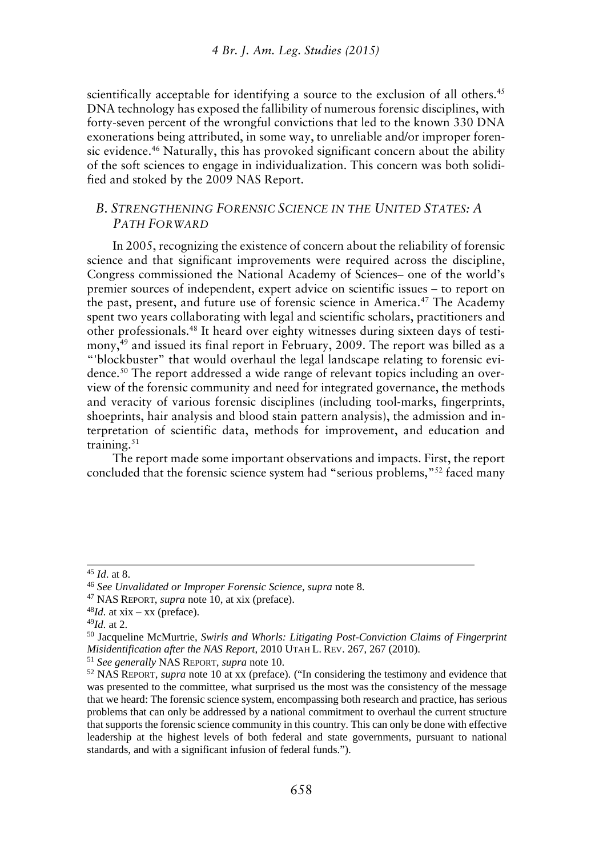scientifically acceptable for identifying a source to the exclusion of all others.<sup>45</sup> DNA technology has exposed the fallibility of numerous forensic disciplines, with forty-seven percent of the wrongful convictions that led to the known 330 DNA exonerations being attributed, in some way, to unreliable and/or improper forensic evidence.<sup>46</sup> Naturally, this has provoked significant concern about the ability of the soft sciences to engage in individualization. This concern was both solidified and stoked by the 2009 NAS Report.

### *B. STRENGTHENING FORENSIC SCIENCE IN THE UNITED STATES: A PATH FORWARD*

In 2005, recognizing the existence of concern about the reliability of forensic science and that significant improvements were required across the discipline, Congress commissioned the National Academy of Sciences– one of the world's premier sources of independent, expert advice on scientific issues – to report on the past, present, and future use of forensic science in America.<sup>47</sup> The Academy spent two years collaborating with legal and scientific scholars, practitioners and other professionals.<sup>48</sup> It heard over eighty witnesses during sixteen days of testimony,<sup>49</sup> and issued its final report in February, 2009. The report was billed as a "'blockbuster" that would overhaul the legal landscape relating to forensic evidence.<sup>50</sup> The report addressed a wide range of relevant topics including an overview of the forensic community and need for integrated governance, the methods and veracity of various forensic disciplines (including tool-marks, fingerprints, shoeprints, hair analysis and blood stain pattern analysis), the admission and interpretation of scientific data, methods for improvement, and education and training.<sup>51</sup>

The report made some important observations and impacts. First, the report concluded that the forensic science system had "serious problems,"<sup>52</sup> faced many

<sup>45</sup> *Id*. at 8.

<sup>46</sup> *See Unvalidated or Improper Forensic Science*, *supra* note 8.

<sup>47</sup> NAS REPORT, *supra* note 10, at xix (preface).

 $48$ *Id.* at xix – xx (preface).

<sup>49</sup>*Id.* at 2.

<sup>50</sup> Jacqueline McMurtrie, *Swirls and Whorls: Litigating Post-Conviction Claims of Fingerprint Misidentification after the NAS Report*, 2010 UTAH L. REV. 267, 267 (2010).

<sup>51</sup> *See generally* NAS REPORT, *supra* note 10.

<sup>52</sup> NAS REPORT, *supra* note 10 at xx (preface). ("In considering the testimony and evidence that was presented to the committee, what surprised us the most was the consistency of the message that we heard: The forensic science system, encompassing both research and practice, has serious problems that can only be addressed by a national commitment to overhaul the current structure that supports the forensic science community in this country. This can only be done with effective leadership at the highest levels of both federal and state governments, pursuant to national standards, and with a significant infusion of federal funds.").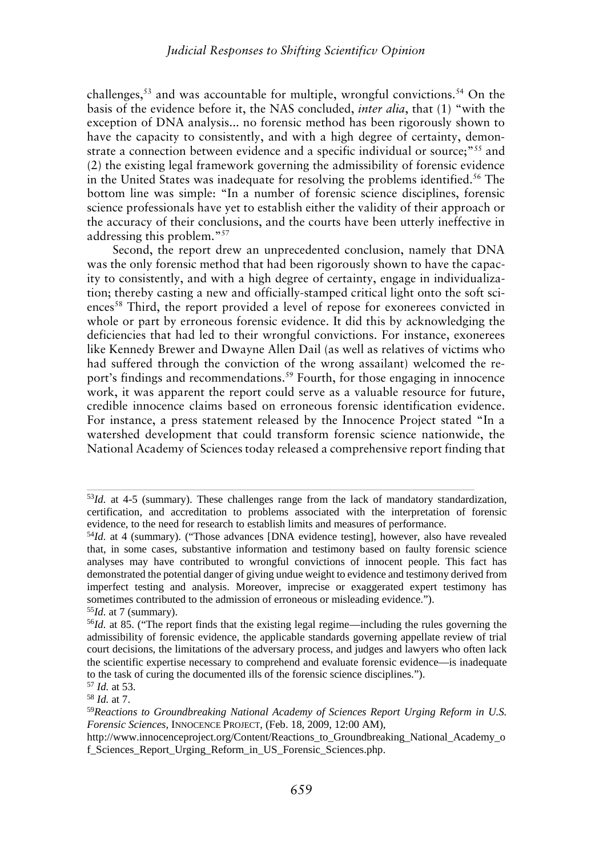challenges, $53$  and was accountable for multiple, wrongful convictions.  $54$  On the basis of the evidence before it, the NAS concluded, *inter alia*, that (1) "with the exception of DNA analysis... no forensic method has been rigorously shown to have the capacity to consistently, and with a high degree of certainty, demonstrate a connection between evidence and a specific individual or source;"<sup>55</sup> and (2) the existing legal framework governing the admissibility of forensic evidence in the United States was inadequate for resolving the problems identified.<sup>56</sup> The bottom line was simple: "In a number of forensic science disciplines, forensic science professionals have yet to establish either the validity of their approach or the accuracy of their conclusions, and the courts have been utterly ineffective in addressing this problem."<sup>57</sup>

Second, the report drew an unprecedented conclusion, namely that DNA was the only forensic method that had been rigorously shown to have the capacity to consistently, and with a high degree of certainty, engage in individualization; thereby casting a new and officially-stamped critical light onto the soft sciences<sup>58</sup> Third, the report provided a level of repose for exonerees convicted in whole or part by erroneous forensic evidence. It did this by acknowledging the deficiencies that had led to their wrongful convictions. For instance, exonerees like Kennedy Brewer and Dwayne Allen Dail (as well as relatives of victims who had suffered through the conviction of the wrong assailant) welcomed the report's findings and recommendations.<sup>59</sup> Fourth, for those engaging in innocence work, it was apparent the report could serve as a valuable resource for future, credible innocence claims based on erroneous forensic identification evidence. For instance, a press statement released by the Innocence Project stated "In a watershed development that could transform forensic science nationwide, the National Academy of Sciences today released a comprehensive report finding that

<sup>53</sup>*Id.* at 4-5 (summary). These challenges range from the lack of mandatory standardization, certification, and accreditation to problems associated with the interpretation of forensic evidence, to the need for research to establish limits and measures of performance.

<sup>&</sup>lt;sup>54</sup>*Id.* at 4 (summary). ("Those advances [DNA evidence testing], however, also have revealed that, in some cases, substantive information and testimony based on faulty forensic science analyses may have contributed to wrongful convictions of innocent people. This fact has demonstrated the potential danger of giving undue weight to evidence and testimony derived from imperfect testing and analysis. Moreover, imprecise or exaggerated expert testimony has sometimes contributed to the admission of erroneous or misleading evidence."). <sup>55</sup>*Id.* at 7 (summary).

<sup>56</sup>*Id.* at 85. ("The report finds that the existing legal regime—including the rules governing the admissibility of forensic evidence, the applicable standards governing appellate review of trial court decisions, the limitations of the adversary process, and judges and lawyers who often lack the scientific expertise necessary to comprehend and evaluate forensic evidence—is inadequate to the task of curing the documented ills of the forensic science disciplines.").

<sup>57</sup> *Id.* at 53.

<sup>58</sup> *Id.* at 7.

<sup>59</sup>*Reactions to Groundbreaking National Academy of Sciences Report Urging Reform in U.S. Forensic Sciences,* INNOCENCE PROJECT, (Feb. 18, 2009, 12:00 AM),

http://www.innocenceproject.org/Content/Reactions\_to\_Groundbreaking\_National\_Academy\_o f\_Sciences\_Report\_Urging\_Reform\_in\_US\_Forensic\_Sciences.php.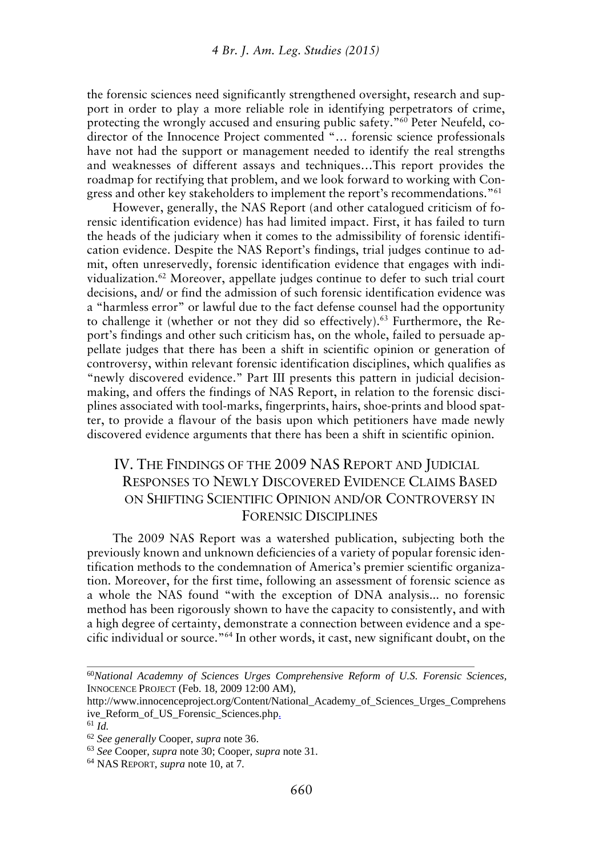the forensic sciences need significantly strengthened oversight, research and support in order to play a more reliable role in identifying perpetrators of crime, protecting the wrongly accused and ensuring public safety."<sup>60</sup> Peter Neufeld, co director of the Innocence Project commented "… forensic science professionals have not had the support or management needed to identify the real strengths and weaknesses of different assays and techniques…This report provides the roadmap for rectifying that problem, and we look forward to working with Congress and other key stakeholders to implement the report's recommendations."<sup>61</sup>

However, generally, the NAS Report (and other catalogued criticism of forensic identification evidence) has had limited impact. First, it has failed to turn the heads of the judiciary when it comes to the admissibility of forensic identification evidence. Despite the NAS Report's findings, trial judges continue to admit, often unreservedly, forensic identification evidence that engages with individualization.<sup>62</sup> Moreover, appellate judges continue to defer to such trial court decisions, and/ or find the admission of such forensic identification evidence was a "harmless error" or lawful due to the fact defense counsel had the opportunity to challenge it (whether or not they did so effectively).<sup>63</sup> Furthermore, the Report's findings and other such criticism has, on the whole, failed to persuade appellate judges that there has been a shift in scientific opinion or generation of controversy, within relevant forensic identification disciplines, which qualifies as "newly discovered evidence." Part III presents this pattern in judicial decision making, and offers the findings of NAS Report, in relation to the forensic disciplines associated with tool-marks, fingerprints, hairs, shoe-prints and blood spatter, to provide a flavour of the basis upon which petitioners have made newly discovered evidence arguments that there has been a shift in scientific opinion.

# IV. THE FINDINGS OF THE 2009 NAS REPORT AND JUDICIAL RESPONSES TO NEWLY DISCOVERED EVIDENCE CLAIMS BASED ON SHIFTING SCIENTIFIC OPINION AND/OR CONTROVERSY IN FORENSIC DISCIPLINES

The 2009 NAS Report was a watershed publication, subjecting both the previously known and unknown deficiencies of a variety of popular forensic identification methods to the condemnation of America's premier scientific organization. Moreover, for the first time, following an assessment of forensic science as a whole the NAS found "with the exception of DNA analysis... no forensic method has been rigorously shown to have the capacity to consistently, and with a high degree of certainty, demonstrate a connection between evidence and a specific individual or source."<sup>64</sup> In other words, it cast, new significant doubt, on the

<sup>60</sup>*National Academny of Sciences Urges Comprehensive Reform of U.S. Forensic Sciences,* INNOCENCE PROJECT (Feb. 18, 2009 12:00 AM),

http://www.innocenceproject.org/Content/National\_Academy\_of\_Sciences\_Urges\_Comprehens ive\_Reform\_of\_US\_Forensic\_Sciences.php.

<sup>61</sup> *Id.*

<sup>62</sup> *See generally* Cooper, *supra* note 36.

<sup>63</sup> *See* Cooper, *supra* note 30; Cooper, *supra* note 31.

<sup>64</sup> NAS REPORT, *supra* note 10, at 7.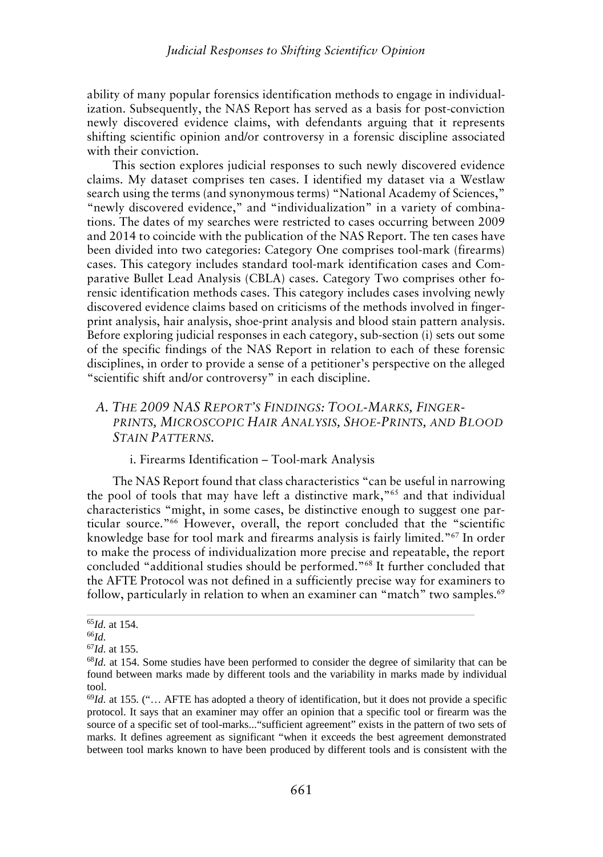ability of many popular forensics identification methods to engage in individualization. Subsequently, the NAS Report has served as a basis for post-conviction newly discovered evidence claims, with defendants arguing that it represents shifting scientific opinion and/or controversy in a forensic discipline associated with their conviction.

This section explores judicial responses to such newly discovered evidence claims. My dataset comprises ten cases. I identified my dataset via a Westlaw search using the terms (and synonymous terms) "National Academy of Sciences," "newly discovered evidence," and "individualization" in a variety of combinations. The dates of my searches were restricted to cases occurring between 2009 and 2014 to coincide with the publication of the NAS Report. The ten cases have been divided into two categories: Category One comprises tool-mark (firearms) cases. This category includes standard tool-mark identification cases and Comparative Bullet Lead Analysis (CBLA) cases. Category Two comprises other forensic identification methods cases. This category includes cases involving newly discovered evidence claims based on criticisms of the methods involved in fingerprint analysis, hair analysis, shoe-print analysis and blood stain pattern analysis. Before exploring judicial responses in each category, sub-section (i) sets out some of the specific findings of the NAS Report in relation to each of these forensic disciplines, in order to provide a sense of a petitioner's perspective on the alleged "scientific shift and/or controversy" in each discipline.

# *A. THE 2009 NAS REPORT'S FINDINGS: TOOL-MARKS, FINGER- PRINTS, MICROSCOPIC HAIR ANALYSIS, SHOE-PRINTS, AND BLOOD STAIN PATTERNS.*

#### i. Firearms Identification – Tool-mark Analysis

The NAS Report found that class characteristics "can be useful in narrowing the pool of tools that may have left a distinctive mark,"<sup>65</sup> and that individual characteristics "might, in some cases, be distinctive enough to suggest one particular source."<sup>66</sup> However, overall, the report concluded that the "scientific knowledge base for tool mark and firearms analysis is fairly limited."<sup>67</sup> In order to make the process of individualization more precise and repeatable, the report concluded "additional studies should be performed."<sup>68</sup> It further concluded that the AFTE Protocol was not defined in a sufficiently precise way for examiners to follow, particularly in relation to when an examiner can "match" two samples.<sup>69</sup>

<sup>65</sup>*Id.* at 154.

<sup>66</sup>*Id.*

<sup>67</sup>*Id.* at 155.

<sup>&</sup>lt;sup>68</sup>Id. at 154. Some studies have been performed to consider the degree of similarity that can be found between marks made by different tools and the variability in marks made by individual tool.

<sup>69</sup>*Id.* at 155. ("… AFTE has adopted a theory of identification, but it does not provide a specific protocol. It says that an examiner may offer an opinion that a specific tool or firearm was the source of a specific set of tool-marks..."sufficient agreement" exists in the pattern of two sets of marks. It defines agreement as significant "when it exceeds the best agreement demonstrated between tool marks known to have been produced by different tools and is consistent with the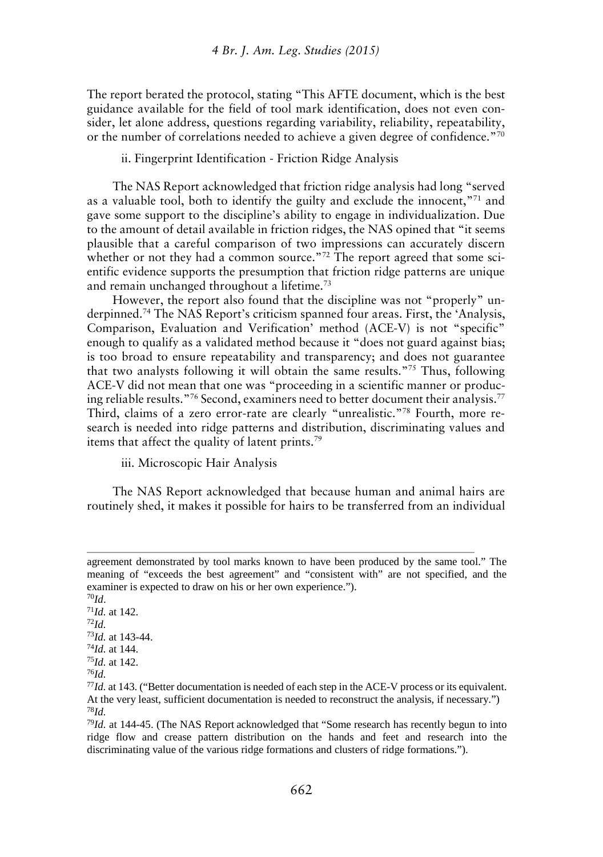The report berated the protocol, stating "This AFTE document, which is the best guidance available for the field of tool mark identification, does not even consider, let alone address, questions regarding variability, reliability, repeatability, or the number of correlations needed to achieve a given degree of confidence."<sup>70</sup>

ii. Fingerprint Identification - Friction Ridge Analysis

The NAS Report acknowledged that friction ridge analysis had long "served as a valuable tool, both to identify the guilty and exclude the innocent,"<sup>71</sup> and gave some support to the discipline's ability to engage in individualization. Due to the amount of detail available in friction ridges, the NAS opined that "it seems plausible that a careful comparison of two impressions can accurately discern whether or not they had a common source."<sup>72</sup> The report agreed that some scientific evidence supports the presumption that friction ridge patterns are unique and remain unchanged throughout a lifetime.<sup>73</sup>

However, the report also found that the discipline was not "properly" underpinned.<sup>74</sup> The NAS Report's criticism spanned four areas. First, the 'Analysis, Comparison, Evaluation and Verification' method (ACE-V) is not "specific" enough to qualify as a validated method because it "does not guard against bias; is too broad to ensure repeatability and transparency; and does not guarantee that two analysts following it will obtain the same results."<sup>75</sup> Thus, following ACE-V did not mean that one was "proceeding in a scientific manner or producing reliable results."<sup>76</sup> Second, examiners need to better document their analysis.<sup>77</sup> Third, claims of a zero error-rate are clearly "unrealistic."<sup>78</sup> Fourth, more research is needed into ridge patterns and distribution, discriminating values and items that affect the quality of latent prints.<sup>79</sup>

iii. Microscopic Hair Analysis

The NAS Report acknowledged that because human and animal hairs are routinely shed, it makes it possible for hairs to be transferred from an individual

<sup>70</sup>*Id*.

<sup>71</sup>*Id.* at 142. <sup>72</sup>*Id.*

<sup>73</sup>*Id.* at 143-44. <sup>74</sup>*Id.* at 144.

<sup>75</sup>*Id.* at 142.

<sup>76</sup>*Id.*

agreement demonstrated by tool marks known to have been produced by the same tool." The meaning of "exceeds the best agreement" and "consistent with" are not specified, and the examiner is expected to draw on his or her own experience.").

<sup>77</sup>*Id.* at 143. ("Better documentation is needed of each step in the ACE-V process or its equivalent. At the very least, sufficient documentation is needed to reconstruct the analysis, if necessary.") <sup>78</sup>*Id.*

<sup>79</sup>*Id.* at 144-45. (The NAS Report acknowledged that "Some research has recently begun to into ridge flow and crease pattern distribution on the hands and feet and research into the discriminating value of the various ridge formations and clusters of ridge formations.").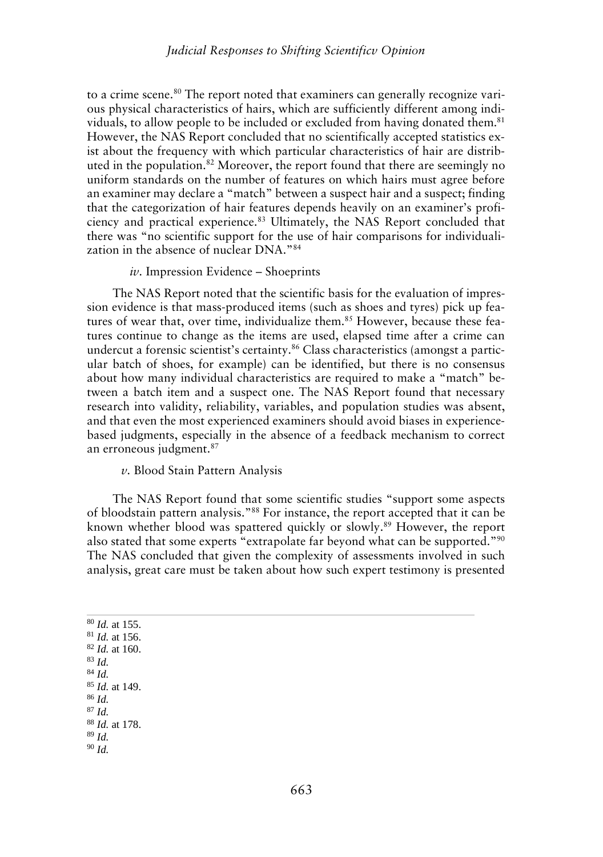to a crime scene.<sup>80</sup> The report noted that examiners can generally recognize various physical characteristics of hairs, which are sufficiently different among individuals, to allow people to be included or excluded from having donated them.<sup>81</sup> However, the NAS Report concluded that no scientifically accepted statistics exist about the frequency with which particular characteristics of hair are distributed in the population.<sup>82</sup> Moreover, the report found that there are seemingly no uniform standards on the number of features on which hairs must agree before an examiner may declare a "match" between a suspect hair and a suspect; finding that the categorization of hair features depends heavily on an examiner's proficiency and practical experience.<sup>83</sup> Ultimately, the NAS Report concluded that there was "no scientific support for the use of hair comparisons for individualization in the absence of nuclear DNA."<sup>84</sup>

#### *iv.* Impression Evidence – Shoeprints

The NAS Report noted that the scientific basis for the evaluation of impression evidence is that mass-produced items (such as shoes and tyres) pick up features of wear that, over time, individualize them.<sup>85</sup> However, because these features continue to change as the items are used, elapsed time after a crime can undercut a forensic scientist's certainty.<sup>86</sup> Class characteristics (amongst a particular batch of shoes, for example) can be identified, but there is no consensus about how many individual characteristics are required to make a "match" between a batch item and a suspect one. The NAS Report found that necessary research into validity, reliability, variables, and population studies was absent, and that even the most experienced examiners should avoid biases in experience based judgments, especially in the absence of a feedback mechanism to correct an erroneous judgment.<sup>87</sup>

*v.* Blood Stain Pattern Analysis

The NAS Report found that some scientific studies "support some aspects of bloodstain pattern analysis."<sup>88</sup> For instance, the report accepted that it can be known whether blood was spattered quickly or slowly.<sup>89</sup> However, the report also stated that some experts "extrapolate far beyond what can be supported."<sup>90</sup> The NAS concluded that given the complexity of assessments involved in such analysis, great care must be taken about how such expert testimony is presented

<sup>80</sup> *Id.* at 155. <sup>81</sup> *Id.* at 156. <sup>82</sup> *Id.* at 160. <sup>83</sup> *Id.* <sup>84</sup> *Id.* <sup>85</sup> *Id.* at 149. <sup>86</sup> *Id.* <sup>87</sup> *Id.* <sup>88</sup> *Id.* at 178. <sup>89</sup> *Id.* <sup>90</sup> *Id.*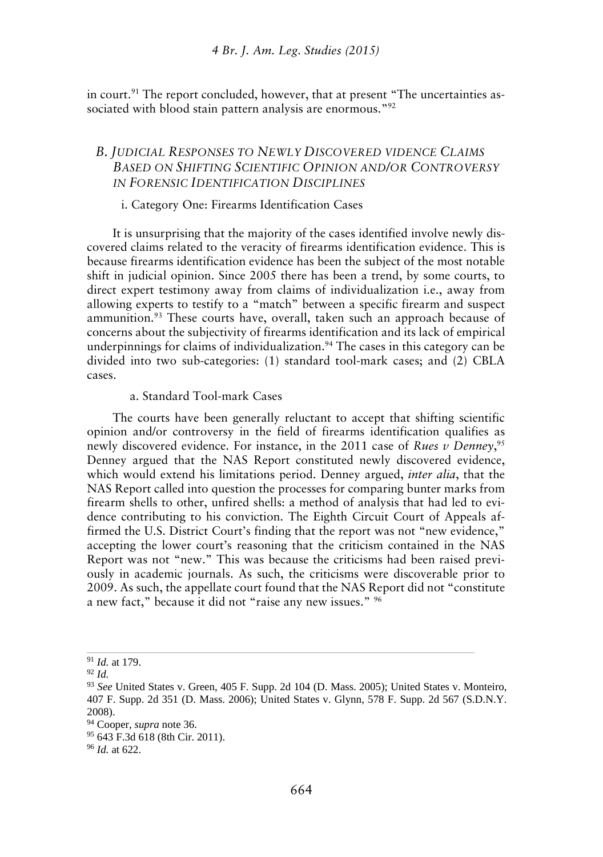in court.<sup>91</sup> The report concluded, however, that at present "The uncertainties associated with blood stain pattern analysis are enormous."<sup>92</sup>

### *B. JUDICIAL RESPONSES TO NEWLY DISCOVERED VIDENCE CLAIMS BASED ON SHIFTING SCIENTIFIC OPINION AND/OR CONTROVERSY IN FORENSIC IDENTIFICATION DISCIPLINES*

#### i. Category One: Firearms Identification Cases

It is unsurprising that the majority of the cases identified involve newly discovered claims related to the veracity of firearms identification evidence. This is because firearms identification evidence has been the subject of the most notable shift in judicial opinion. Since 2005 there has been a trend, by some courts, to direct expert testimony away from claims of individualization i.e., away from allowing experts to testify to a "match" between a specific firearm and suspect ammunition.<sup>93</sup> These courts have, overall, taken such an approach because of concerns about the subjectivity of firearms identification and its lack of empirical underpinnings for claims of individualization. $94$  The cases in this category can be divided into two sub-categories: (1) standard tool-mark cases; and (2) CBLA cases.

#### a. Standard Tool-mark Cases

The courts have been generally reluctant to accept that shifting scientific opinion and/or controversy in the field of firearms identification qualifies as newly discovered evidence. For instance, in the 2011 case of *Rues v Denney*,<sup>95</sup> Denney argued that the NAS Report constituted newly discovered evidence, which would extend his limitations period. Denney argued, *inter alia*, that the NAS Report called into question the processes for comparing bunter marks from firearm shells to other, unfired shells: a method of analysis that had led to evidence contributing to his conviction. The Eighth Circuit Court of Appeals affirmed the U.S. District Court's finding that the report was not "new evidence," accepting the lower court's reasoning that the criticism contained in the NAS Report was not "new." This was because the criticisms had been raised previously in academic journals. As such, the criticisms were discoverable prior to 2009. As such, the appellate court found that the NAS Report did not "constitute a new fact," because it did not "raise any new issues." <sup>96</sup>

<sup>91</sup> *Id.* at 179.

<sup>92</sup> *Id.*

<sup>93</sup> *See* United States v. Green, 405 F. Supp. 2d 104 (D. Mass. 2005); United States v. Monteiro, 407 F. Supp. 2d 351 (D. Mass. 2006); United States v. Glynn, 578 F. Supp. 2d 567 (S.D.N.Y. 2008).

<sup>94</sup> Cooper, *supra* note 36.

<sup>95</sup> 643 F.3d 618 (8th Cir. 2011).

<sup>96</sup> *Id.* at 622.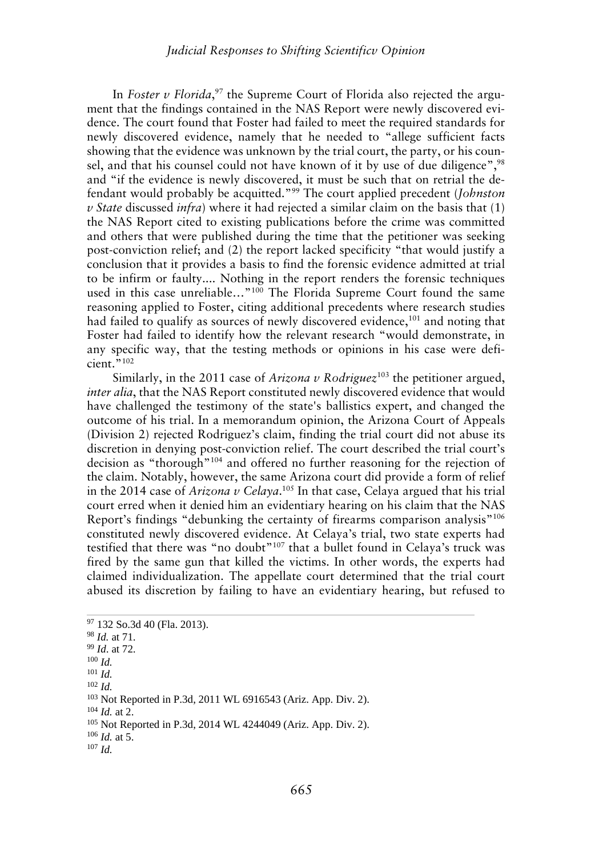#### *Judicial Responses to Shifting Scientificv Opinion*

In *Foster v Florida*,<sup>97</sup> the Supreme Court of Florida also rejected the argument that the findings contained in the NAS Report were newly discovered evidence. The court found that Foster had failed to meet the required standards for newly discovered evidence, namely that he needed to "allege sufficient facts showing that the evidence was unknown by the trial court, the party, or his counsel, and that his counsel could not have known of it by use of due diligence",<sup>98</sup> and "if the evidence is newly discovered, it must be such that on retrial the defendant would probably be acquitted."<sup>99</sup> The court applied precedent (*Johnston v State* discussed *infra*) where it had rejected a similar claim on the basis that (1) the NAS Report cited to existing publications before the crime was committed and others that were published during the time that the petitioner was seeking post-conviction relief; and (2) the report lacked specificity "that would justify a conclusion that it provides a basis to find the forensic evidence admitted at trial to be infirm or faulty.... Nothing in the report renders the forensic techniques used in this case unreliable..."<sup>100</sup> The Florida Supreme Court found the same reasoning applied to Foster, citing additional precedents where research studies had failed to qualify as sources of newly discovered evidence,<sup>101</sup> and noting that Foster had failed to identify how the relevant research "would demonstrate, in any specific way, that the testing methods or opinions in his case were defi $cient$ ."102

Similarly, in the 2011 case of *Arizona v Rodriguez*<sup>103</sup> the petitioner argued, *inter alia*, that the NAS Report constituted newly discovered evidence that would have challenged the testimony of the state's ballistics expert, and changed the outcome of his trial. In a memorandum opinion, the Arizona Court of Appeals (Division 2) rejected Rodriguez's claim, finding the trial court did not abuse its discretion in denying post-conviction relief. The court described the trial court's decision as "thorough"<sup>104</sup> and offered no further reasoning for the rejection of the claim. Notably, however, the same Arizona court did provide a form of relief in the 2014 case of *Arizona v Celaya*.<sup>105</sup> In that case, Celaya argued that his trial court erred when it denied him an evidentiary hearing on his claim that the NAS Report's findings "debunking the certainty of firearms comparison analysis"<sup>106</sup> constituted newly discovered evidence. At Celaya's trial, two state experts had testified that there was "no doubt"<sup>107</sup> that a bullet found in Celaya's truck was fired by the same gun that killed the victims. In other words, the experts had claimed individualization. The appellate court determined that the trial court abused its discretion by failing to have an evidentiary hearing, but refused to

- <sup>100</sup> *Id.*
- <sup>101</sup> *Id.*
- <sup>102</sup> *Id.*

<sup>104</sup> *Id.* at 2.

<sup>97</sup> 132 So.3d 40 (Fla. 2013).

<sup>98</sup> *Id.* at 71.

<sup>99</sup> *Id*. at 72.

<sup>103</sup> Not Reported in P.3d, 2011 WL 6916543 (Ariz. App. Div. 2).

<sup>105</sup> Not Reported in P.3d, 2014 WL 4244049 (Ariz. App. Div. 2).

<sup>106</sup> *Id.* at 5.

<sup>107</sup> *Id.*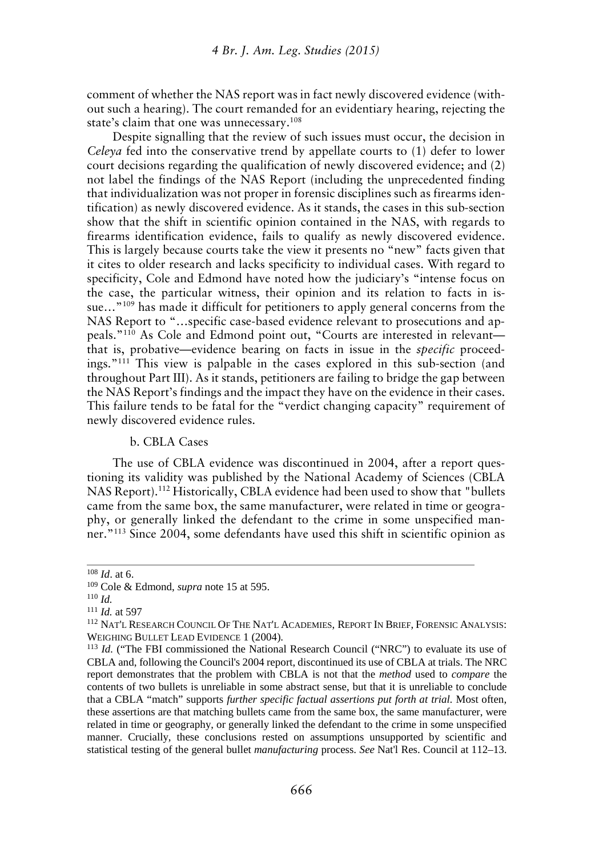comment of whether the NAS report was in fact newly discovered evidence (without such a hearing). The court remanded for an evidentiary hearing, rejecting the state's claim that one was unnecessary.<sup>108</sup>

Despite signalling that the review of such issues must occur, the decision in *Celeya* fed into the conservative trend by appellate courts to (1) defer to lower court decisions regarding the qualification of newly discovered evidence; and (2) not label the findings of the NAS Report (including the unprecedented finding that individualization was not proper in forensic disciplines such as firearms identification) as newly discovered evidence. As it stands, the cases in this sub-section show that the shift in scientific opinion contained in the NAS, with regards to firearms identification evidence, fails to qualify as newly discovered evidence. This is largely because courts take the view it presents no "new" facts given that it cites to older research and lacks specificity to individual cases. With regard to specificity, Cole and Edmond have noted how the judiciary's "intense focus on the case, the particular witness, their opinion and its relation to facts in issue..."<sup>109</sup> has made it difficult for petitioners to apply general concerns from the NAS Report to "…specific case-based evidence relevant to prosecutions and appeals."<sup>110</sup> As Cole and Edmond point out, "Courts are interested in relevant that is, probative—evidence bearing on facts in issue in the *specific* proceedings."<sup>111</sup> This view is palpable in the cases explored in this sub-section (and throughout Part III). As it stands, petitioners are failing to bridge the gap between the NAS Report's findings and the impact they have on the evidence in their cases. This failure tends to be fatal for the "verdict changing capacity" requirement of newly discovered evidence rules.

#### b. CBLA Cases

The use of CBLA evidence was discontinued in 2004, after a report questioning its validity was published by the National Academy of Sciences (CBLA NAS Report).<sup>112</sup> Historically, CBLA evidence had been used to show that "bullets came from the same box, the same manufacturer, were related in time or geography, or generally linked the defendant to the crime in some unspecified manner."<sup>113</sup> Since 2004, some defendants have used this shift in scientific opinion as

<sup>108</sup> *Id*. at 6.

<sup>109</sup> Cole & Edmond, *supra* note 15 at 595.

<sup>110</sup> *Id.*

<sup>111</sup> *Id.* at 597

<sup>112</sup> NAT'L RESEARCH COUNCIL OF THE NAT'L ACADEMIES, REPORT IN BRIEF, FORENSIC ANALYSIS: WEIGHING BULLET LEAD EVIDENCE 1 (2004).

<sup>&</sup>lt;sup>113</sup> *Id.* ("The FBI commissioned the National Research Council ("NRC") to evaluate its use of CBLA and, following the Council's 2004 report, discontinued its use of CBLA at trials. The NRC report demonstrates that the problem with CBLA is not that the *method* used to *compare* the contents of two bullets is unreliable in some abstract sense, but that it is unreliable to conclude that a CBLA "match" supports *further specific factual assertions put forth at trial.* Most often, these assertions are that matching bullets came from the same box, the same manufacturer, were related in time or geography, or generally linked the defendant to the crime in some unspecified manner. Crucially, these conclusions rested on assumptions unsupported by scientific and statistical testing of the general bullet *manufacturing* process. *See* Nat'l Res. Council at 112–13.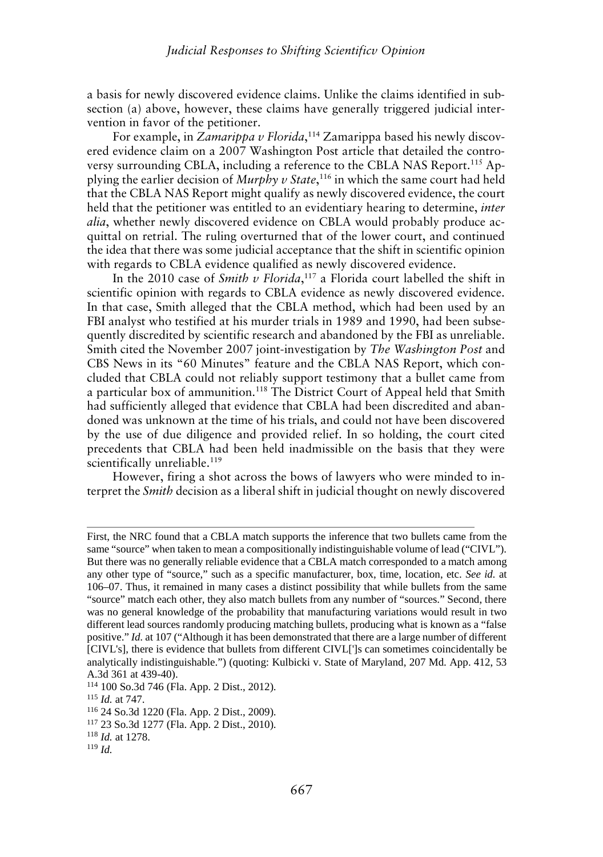a basis for newly discovered evidence claims. Unlike the claims identified in sub section (a) above, however, these claims have generally triggered judicial intervention in favor of the petitioner.

For example, in *Zamarippa v Florida*,<sup>114</sup> Zamarippa based his newly discovered evidence claim on a 2007 Washington Post article that detailed the controversy surrounding CBLA, including a reference to the CBLA NAS Report.<sup>115</sup> Applying the earlier decision of *Murphy v State*,<sup>116</sup> in which the same court had held that the CBLA NAS Report might qualify as newly discovered evidence, the court held that the petitioner was entitled to an evidentiary hearing to determine, *inter alia*, whether newly discovered evidence on CBLA would probably produce acquittal on retrial. The ruling overturned that of the lower court, and continued the idea that there was some judicial acceptance that the shift in scientific opinion with regards to CBLA evidence qualified as newly discovered evidence.

In the 2010 case of *Smith v Florida*,<sup>117</sup> a Florida court labelled the shift in scientific opinion with regards to CBLA evidence as newly discovered evidence. In that case, Smith alleged that the CBLA method, which had been used by an FBI analyst who testified at his murder trials in 1989 and 1990, had been subsequently discredited by scientific research and abandoned by the FBI as unreliable. Smith cited the November 2007 joint-investigation by *The Washington Post* and CBS News in its "60 Minutes" feature and the CBLA NAS Report, which concluded that CBLA could not reliably support testimony that a bullet came from a particular box of ammunition.<sup>118</sup> The District Court of Appeal held that Smith had sufficiently alleged that evidence that CBLA had been discredited and abandoned was unknown at the time of his trials, and could not have been discovered by the use of due diligence and provided relief. In so holding, the court cited precedents that CBLA had been held inadmissible on the basis that they were scientifically unreliable.<sup>119</sup>

However, firing a shot across the bows of lawyers who were minded to interpret the *Smith* decision as a liberal shift in judicial thought on newly discovered

First, the NRC found that a CBLA match supports the inference that two bullets came from the same "source" when taken to mean a compositionally indistinguishable volume of lead ("CIVL"). But there was no generally reliable evidence that a CBLA match corresponded to a match among any other type of "source," such as a specific manufacturer, box, time, location, etc. *See id.* at 106–07. Thus, it remained in many cases a distinct possibility that while bullets from the same "source" match each other, they also match bullets from any number of "sources." Second, there was no general knowledge of the probability that manufacturing variations would result in two different lead sources randomly producing matching bullets, producing what is known as a "false positive." *Id.* at 107 ("Although it has been demonstrated that there are a large number of different [CIVL's], there is evidence that bullets from different CIVL[']s can sometimes coincidentally be analytically indistinguishable.") (quoting: Kulbicki v. State of Maryland, 207 Md. App. 412, 53 A.3d 361 at 439-40).

<sup>114</sup> 100 So.3d 746 (Fla. App. 2 Dist., 2012).

<sup>115</sup> *Id.* at 747.

<sup>116</sup> 24 So.3d 1220 (Fla. App. 2 Dist., 2009).

<sup>117</sup> 23 So.3d 1277 (Fla. App. 2 Dist., 2010).

<sup>118</sup> *Id.* at 1278.

<sup>119</sup> *Id.*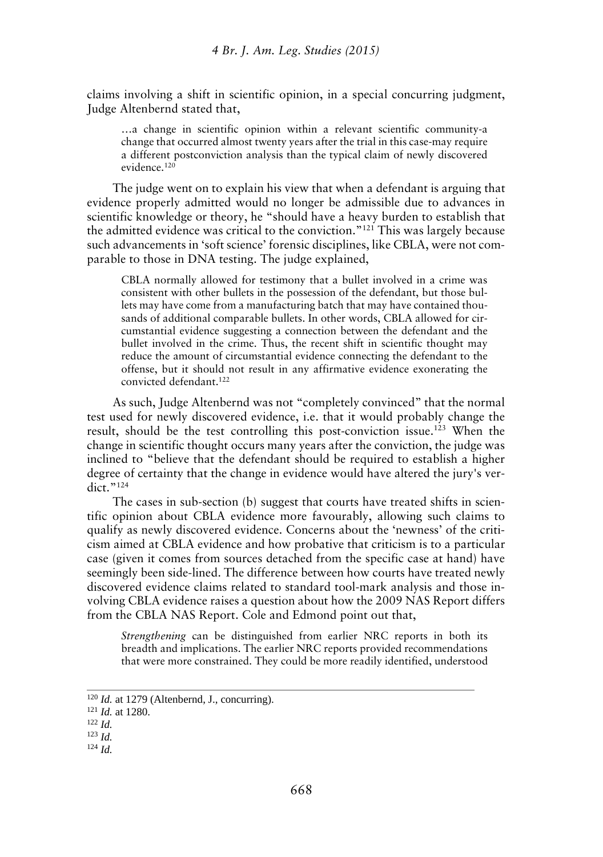claims involving a shift in scientific opinion, in a special concurring judgment, Judge Altenbernd stated that,

…a change in scientific opinion within a relevant scientific community-a change that occurred almost twenty years after the trial in this case-may require a different postconviction analysis than the typical claim of newly discovered evidence.<sup>120</sup>

The judge went on to explain his view that when a defendant is arguing that evidence properly admitted would no longer be admissible due to advances in scientific knowledge or theory, he "should have a heavy burden to establish that the admitted evidence was critical to the conviction."<sup>121</sup> This was largely because such advancements in 'soft science' forensic disciplines, like CBLA, were not comparable to those in DNA testing. The judge explained,

CBLA normally allowed for testimony that a bullet involved in a crime was consistent with other bullets in the possession of the defendant, but those bullets may have come from a manufacturing batch that may have contained thousands of additional comparable bullets. In other words, CBLA allowed for circumstantial evidence suggesting a connection between the defendant and the bullet involved in the crime. Thus, the recent shift in scientific thought may reduce the amount of circumstantial evidence connecting the defendant to the offense, but it should not result in any affirmative evidence exonerating the convicted defendant.<sup>122</sup>

As such, Judge Altenbernd was not "completely convinced" that the normal test used for newly discovered evidence, i.e. that it would probably change the result, should be the test controlling this post-conviction issue.<sup>123</sup> When the change in scientific thought occurs many years after the conviction, the judge was inclined to "believe that the defendant should be required to establish a higher degree of certainty that the change in evidence would have altered the jury's ver- $\det$ ."124

The cases in sub-section (b) suggest that courts have treated shifts in scientific opinion about CBLA evidence more favourably, allowing such claims to qualify as newly discovered evidence. Concerns about the 'newness' of the criticism aimed at CBLA evidence and how probative that criticism is to a particular case (given it comes from sources detached from the specific case at hand) have seemingly been side-lined. The difference between how courts have treated newly discovered evidence claims related to standard tool-mark analysis and those involving CBLA evidence raises a question about how the 2009 NAS Report differs from the CBLA NAS Report. Cole and Edmond point out that,

*Strengthening* can be distinguished from earlier NRC reports in both its breadth and implications. The earlier NRC reports provided recommendations that were more constrained. They could be more readily identified, understood

<sup>120</sup> *Id.* at 1279 (Altenbernd, J., concurring).

<sup>121</sup> *Id.* at 1280.

<sup>122</sup> *Id.*

<sup>123</sup> *Id.*

<sup>124</sup> *Id.*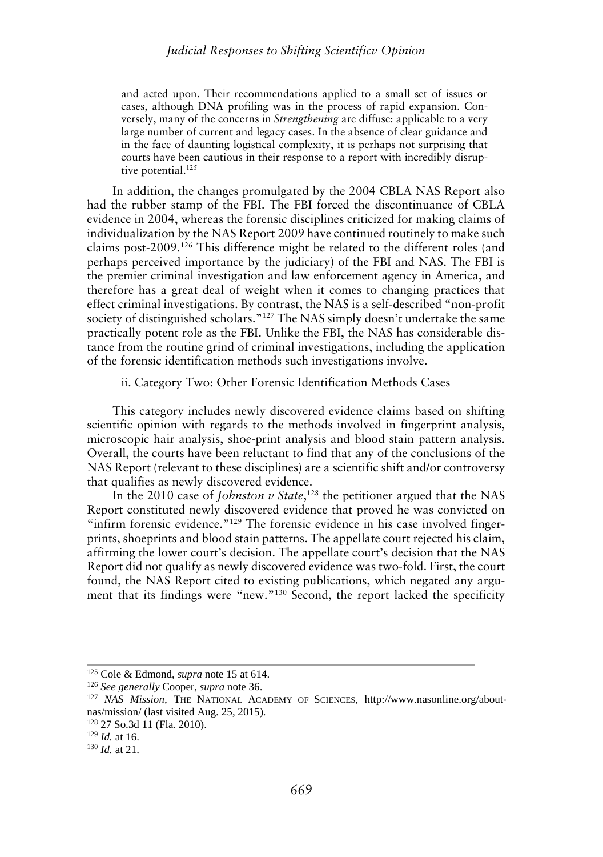and acted upon. Their recommendations applied to a small set of issues or cases, although DNA profiling was in the process of rapid expansion. Conversely, many of the concerns in *Strengthening* are diffuse: applicable to a very large number of current and legacy cases. In the absence of clear guidance and in the face of daunting logistical complexity, it is perhaps not surprising that courts have been cautious in their response to a report with incredibly disruptive potential.<sup>125</sup>

In addition, the changes promulgated by the 2004 CBLA NAS Report also had the rubber stamp of the FBI. The FBI forced the discontinuance of CBLA evidence in 2004, whereas the forensic disciplines criticized for making claims of individualization by the NAS Report 2009 have continued routinely to make such claims post-2009.<sup>126</sup> This difference might be related to the different roles (and perhaps perceived importance by the judiciary) of the FBI and NAS. The FBI is the premier criminal investigation and law enforcement agency in America, and therefore has a great deal of weight when it comes to changing practices that effect criminal investigations. By contrast, the NAS is a self-described "non-profit society of distinguished scholars."<sup>127</sup> The NAS simply doesn't undertake the same practically potent role as the FBI. Unlike the FBI, the NAS has considerable distance from the routine grind of criminal investigations, including the application of the forensic identification methods such investigations involve.

ii. Category Two: Other Forensic Identification Methods Cases

This category includes newly discovered evidence claims based on shifting scientific opinion with regards to the methods involved in fingerprint analysis, microscopic hair analysis, shoe-print analysis and blood stain pattern analysis. Overall, the courts have been reluctant to find that any of the conclusions of the NAS Report (relevant to these disciplines) are a scientific shift and/or controversy that qualifies as newly discovered evidence.

In the 2010 case of *Johnston v State*,<sup>128</sup> the petitioner argued that the NAS Report constituted newly discovered evidence that proved he was convicted on "infirm forensic evidence."<sup>129</sup> The forensic evidence in his case involved fingerprints, shoeprints and blood stain patterns. The appellate court rejected his claim, affirming the lower court's decision. The appellate court's decision that the NAS Report did not qualify as newly discovered evidence was two-fold. First, the court found, the NAS Report cited to existing publications, which negated any argument that its findings were "new."<sup>130</sup> Second, the report lacked the specificity

<sup>125</sup> Cole & Edmond, *supra* note 15 at 614.

<sup>126</sup> *See generally* Cooper, *supra* note 36.

<sup>127</sup> *NAS Mission,* THE NATIONAL ACADEMY OF SCIENCES, http://www.nasonline.org/about nas/mission/ (last visited Aug. 25, 2015).

<sup>128</sup> 27 So.3d 11 (Fla. 2010).

<sup>129</sup> *Id.* at 16.

<sup>130</sup> *Id.* at 21.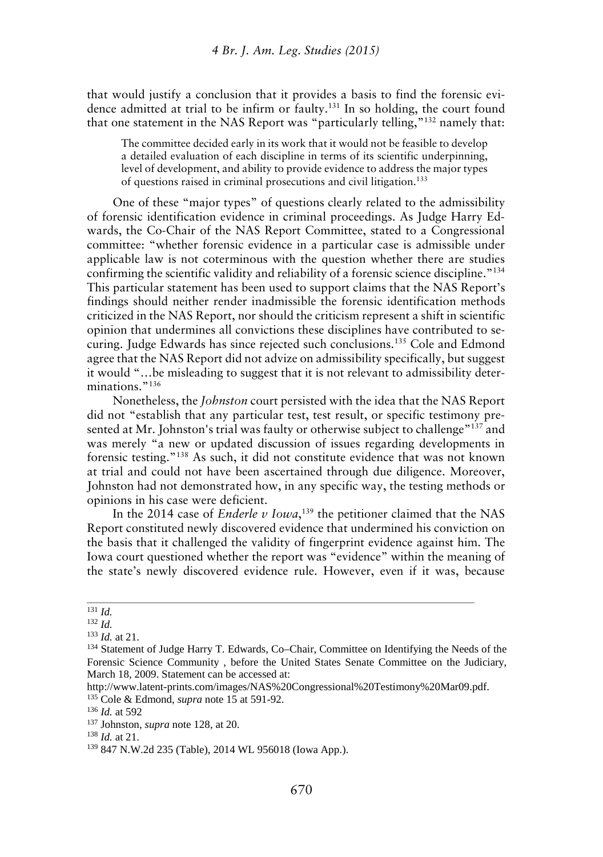that would justify a conclusion that it provides a basis to find the forensic evidence admitted at trial to be infirm or faulty.<sup>131</sup> In so holding, the court found that one statement in the NAS Report was "particularly telling,"<sup>132</sup> namely that:

The committee decided early in its work that it would not be feasible to develop a detailed evaluation of each discipline in terms of its scientific underpinning, level of development, and ability to provide evidence to address the major types of questions raised in criminal prosecutions and civil litigation.<sup>133</sup>

One of these "major types" of questions clearly related to the admissibility of forensic identification evidence in criminal proceedings. As Judge Harry Edwards, the Co-Chair of the NAS Report Committee, stated to a Congressional committee: "whether forensic evidence in a particular case is admissible under applicable law is not coterminous with the question whether there are studies confirming the scientific validity and reliability of a forensic science discipline."<sup>134</sup> This particular statement has been used to support claims that the NAS Report's findings should neither render inadmissible the forensic identification methods criticized in the NAS Report, nor should the criticism represent a shift in scientific opinion that undermines all convictions these disciplines have contributed to securing. Judge Edwards has since rejected such conclusions.<sup>135</sup> Cole and Edmond agree that the NAS Report did not advize on admissibility specifically, but suggest it would "…be misleading to suggest that it is not relevant to admissibility determinations."<sup>136</sup>

Nonetheless, the *Johnston* court persisted with the idea that the NAS Report did not "establish that any particular test, test result, or specific testimony presented at Mr. Johnston's trial was faulty or otherwise subject to challenge<sup>"137</sup> and was merely "a new or updated discussion of issues regarding developments in forensic testing."<sup>138</sup> As such, it did not constitute evidence that was not known at trial and could not have been ascertained through due diligence. Moreover, Johnston had not demonstrated how, in any specific way, the testing methods or opinions in his case were deficient.

In the 2014 case of *Enderle v Iowa*,<sup>139</sup> the petitioner claimed that the NAS Report constituted newly discovered evidence that undermined his conviction on the basis that it challenged the validity of fingerprint evidence against him. The Iowa court questioned whether the report was "evidence" within the meaning of the state's newly discovered evidence rule. However, even if it was, because

<sup>131</sup> *Id.*

<sup>132</sup> *Id.*

<sup>133</sup> *Id.* at 21.

<sup>&</sup>lt;sup>134</sup> Statement of Judge Harry T. Edwards, Co–Chair, Committee on Identifying the Needs of the Forensic Science Community , before the United States Senate Committee on the Judiciary, March 18, 2009. Statement can be accessed at:

http://www.latent-prints.com/images/NAS%20Congressional%20Testimony%20Mar09.pdf. <sup>135</sup> Cole & Edmond, *supra* note 15 at 591-92.

<sup>136</sup> *Id.* at 592

<sup>137</sup> Johnston, *supra* note 128, at 20.

<sup>138</sup> *Id.* at 21.

<sup>139</sup> 847 N.W.2d 235 (Table), 2014 WL 956018 (Iowa App.).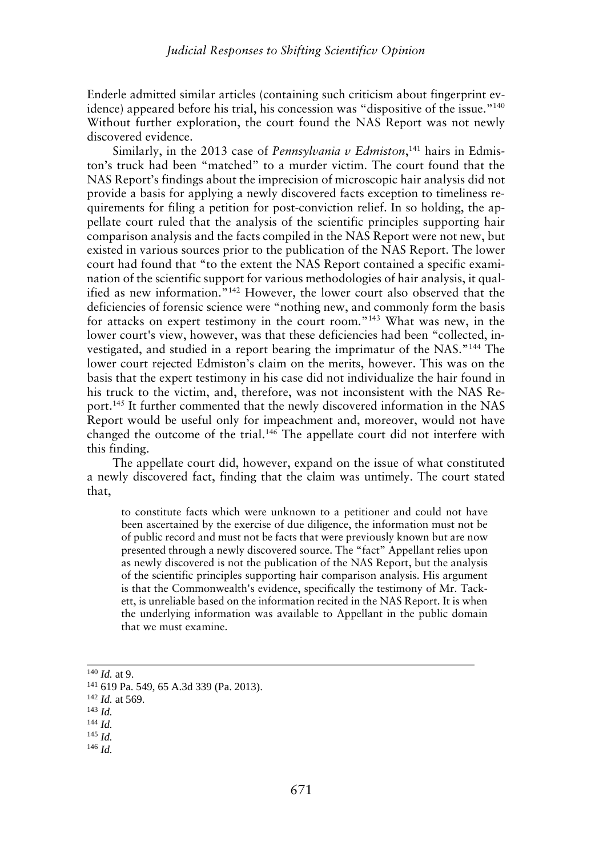Enderle admitted similar articles (containing such criticism about fingerprint evidence) appeared before his trial, his concession was "dispositive of the issue."<sup>140</sup> Without further exploration, the court found the NAS Report was not newly discovered evidence.

Similarly, in the 2013 case of *Pennsylvania v Edmiston*,<sup>141</sup> hairs in Edmiston's truck had been "matched" to a murder victim. The court found that the NAS Report's findings about the imprecision of microscopic hair analysis did not provide a basis for applying a newly discovered facts exception to timeliness requirements for filing a petition for post-conviction relief. In so holding, the appellate court ruled that the analysis of the scientific principles supporting hair comparison analysis and the facts compiled in the NAS Report were not new, but existed in various sources prior to the publication of the NAS Report. The lower court had found that "to the extent the NAS Report contained a specific examination of the scientific support for various methodologies of hair analysis, it qualified as new information."<sup>142</sup> However, the lower court also observed that the deficiencies of forensic science were "nothing new, and commonly form the basis for attacks on expert testimony in the court room."<sup>143</sup> What was new, in the lower court's view, however, was that these deficiencies had been "collected, investigated, and studied in a report bearing the imprimatur of the NAS."<sup>144</sup> The lower court rejected Edmiston's claim on the merits, however. This was on the basis that the expert testimony in his case did not individualize the hair found in his truck to the victim, and, therefore, was not inconsistent with the NAS Report.<sup>145</sup> It further commented that the newly discovered information in the NAS Report would be useful only for impeachment and, moreover, would not have changed the outcome of the trial.<sup>146</sup> The appellate court did not interfere with this finding.

The appellate court did, however, expand on the issue of what constituted a newly discovered fact, finding that the claim was untimely. The court stated that,

to constitute facts which were unknown to a petitioner and could not have been ascertained by the exercise of due diligence, the information must not be of public record and must not be facts that were previously known but are now presented through a newly discovered source. The "fact" Appellant relies upon as newly discovered is not the publication of the NAS Report, but the analysis of the scientific principles supporting hair comparison analysis. His argument is that the Commonwealth's evidence, specifically the testimony of Mr. Tackett, is unreliable based on the information recited in the NAS Report. It is when the underlying information was available to Appellant in the public domain that we must examine.

<sup>140</sup> *Id.* at 9.

<sup>141</sup> 619 Pa. 549, 65 A.3d 339 (Pa. 2013).

<sup>142</sup> *Id.* at 569.

<sup>143</sup> *Id.*

<sup>144</sup> *Id.*

<sup>145</sup> *Id.*

<sup>146</sup> *Id.*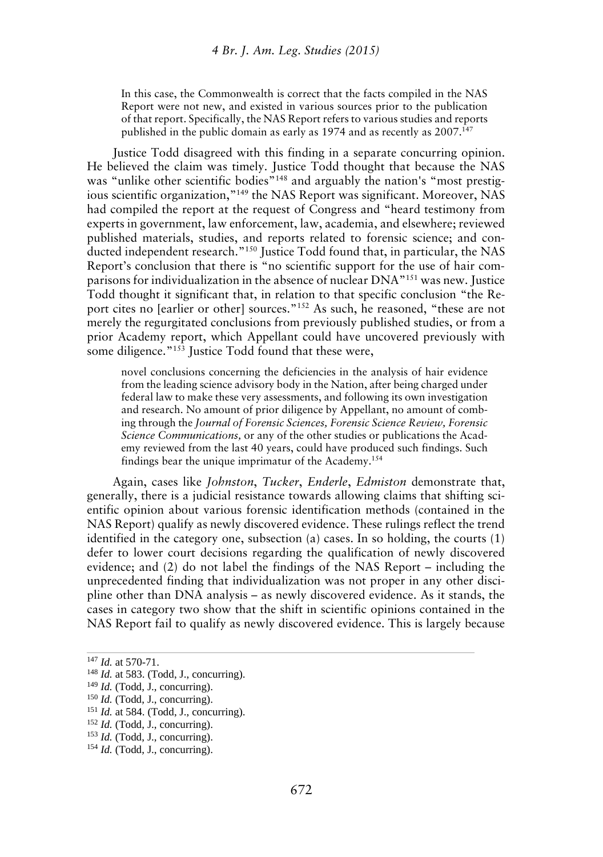In this case, the Commonwealth is correct that the facts compiled in the NAS Report were not new, and existed in various sources prior to the publication of that report. Specifically, the NAS Report refers to various studies and reports published in the public domain as early as 1974 and as recently as 2007.<sup>147</sup>

Justice Todd disagreed with this finding in a separate concurring opinion. He believed the claim was timely. Justice Todd thought that because the NAS was "unlike other scientific bodies"<sup>148</sup> and arguably the nation's "most prestigious scientific organization,"<sup>149</sup> the NAS Report was significant. Moreover, NAS had compiled the report at the request of Congress and "heard testimony from experts in government, law enforcement, law, academia, and elsewhere; reviewed published materials, studies, and reports related to forensic science; and conducted independent research."<sup>150</sup> Justice Todd found that, in particular, the NAS Report's conclusion that there is "no scientific support for the use of hair comparisons for individualization in the absence of nuclear DNA"<sup>151</sup> was new. Justice Todd thought it significant that, in relation to that specific conclusion "the Report cites no [earlier or other] sources." <sup>152</sup> As such, he reasoned, "these are not merely the regurgitated conclusions from previously published studies, or from a prior Academy report, which Appellant could have uncovered previously with some diligence."<sup>153</sup> Justice Todd found that these were,

novel conclusions concerning the deficiencies in the analysis of hair evidence from the leading science advisory body in the Nation, after being charged under federal law to make these very assessments, and following its own investigation and research. No amount of prior diligence by Appellant, no amount of combing through the *Journal of Forensic Sciences, Forensic Science Review, Forensic Science Communications,* or any of the other studies or publications the Academy reviewed from the last 40 years, could have produced such findings. Such findings bear the unique imprimatur of the Academy.<sup>154</sup>

Again, cases like *Johnston*, *Tucker*, *Enderle*, *Edmiston* demonstrate that, generally, there is a judicial resistance towards allowing claims that shifting scientific opinion about various forensic identification methods (contained in the NAS Report) qualify as newly discovered evidence. These rulings reflect the trend identified in the category one, subsection (a) cases. In so holding, the courts (1) defer to lower court decisions regarding the qualification of newly discovered evidence; and (2) do not label the findings of the NAS Report – including the unprecedented finding that individualization was not proper in any other discipline other than DNA analysis – as newly discovered evidence. As it stands, the cases in category two show that the shift in scientific opinions contained in the NAS Report fail to qualify as newly discovered evidence. This is largely because

<sup>147</sup> *Id.* at 570-71.

<sup>148</sup> *Id.* at 583. (Todd, J., concurring).

<sup>&</sup>lt;sup>149</sup> *Id.* (Todd, J., concurring).

<sup>150</sup> *Id.* (Todd, J., concurring).

<sup>151</sup> *Id.* at 584. (Todd, J., concurring).

<sup>152</sup> *Id.* (Todd, J., concurring).

<sup>153</sup> *Id.* (Todd, J., concurring).

<sup>154</sup> *Id.* (Todd, J., concurring).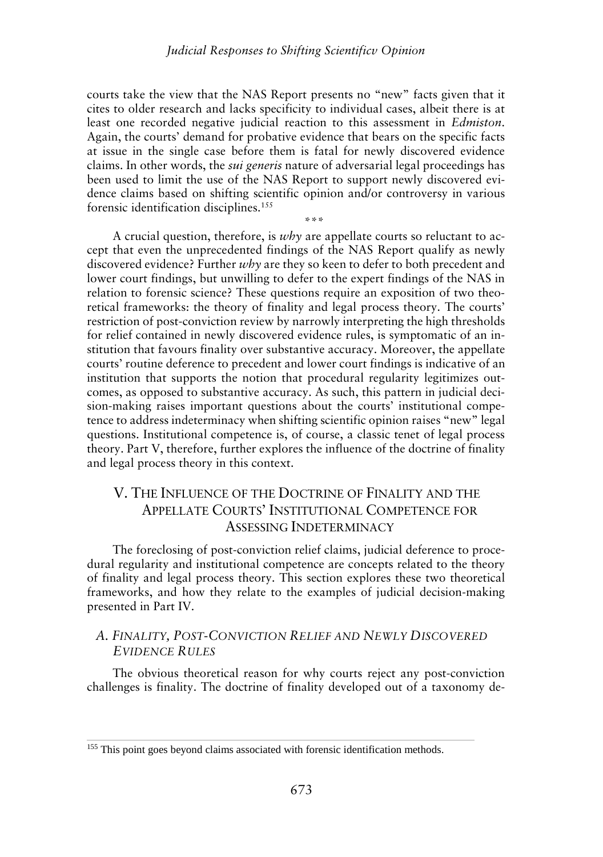courts take the view that the NAS Report presents no "new" facts given that it cites to older research and lacks specificity to individual cases, albeit there is at least one recorded negative judicial reaction to this assessment in *Edmiston*. Again, the courts' demand for probative evidence that bears on the specific facts at issue in the single case before them is fatal for newly discovered evidence claims. In other words, the *sui generis* nature of adversarial legal proceedings has been used to limit the use of the NAS Report to support newly discovered evidence claims based on shifting scientific opinion and/or controversy in various forensic identification disciplines.<sup>155</sup>

\*\*\*

A crucial question, therefore, is *why* are appellate courts so reluctant to accept that even the unprecedented findings of the NAS Report qualify as newly discovered evidence? Further *why* are they so keen to defer to both precedent and lower court findings, but unwilling to defer to the expert findings of the NAS in relation to forensic science? These questions require an exposition of two theoretical frameworks: the theory of finality and legal process theory. The courts' restriction of post-conviction review by narrowly interpreting the high thresholds for relief contained in newly discovered evidence rules, is symptomatic of an institution that favours finality over substantive accuracy. Moreover, the appellate courts' routine deference to precedent and lower court findings is indicative of an institution that supports the notion that procedural regularity legitimizes outcomes, as opposed to substantive accuracy. As such, this pattern in judicial decision-making raises important questions about the courts' institutional competence to address indeterminacy when shifting scientific opinion raises "new" legal questions. Institutional competence is, of course, a classic tenet of legal process theory. Part V, therefore, further explores the influence of the doctrine of finality and legal process theory in this context.

# V. THE INFLUENCE OF THE DOCTRINE OF FINALITY AND THE APPELLATE COURTS' INSTITUTIONAL COMPETENCE FOR ASSESSING INDETERMINACY

The foreclosing of post-conviction relief claims, judicial deference to procedural regularity and institutional competence are concepts related to the theory of finality and legal process theory. This section explores these two theoretical frameworks, and how they relate to the examples of judicial decision-making presented in Part IV.

### *A. FINALITY, POST-CONVICTION RELIEF AND NEWLY DISCOVERED EVIDENCE RULES*

The obvious theoretical reason for why courts reject any post-conviction challenges is finality. The doctrine of finality developed out of a taxonomy de-

<sup>155</sup> This point goes beyond claims associated with forensic identification methods.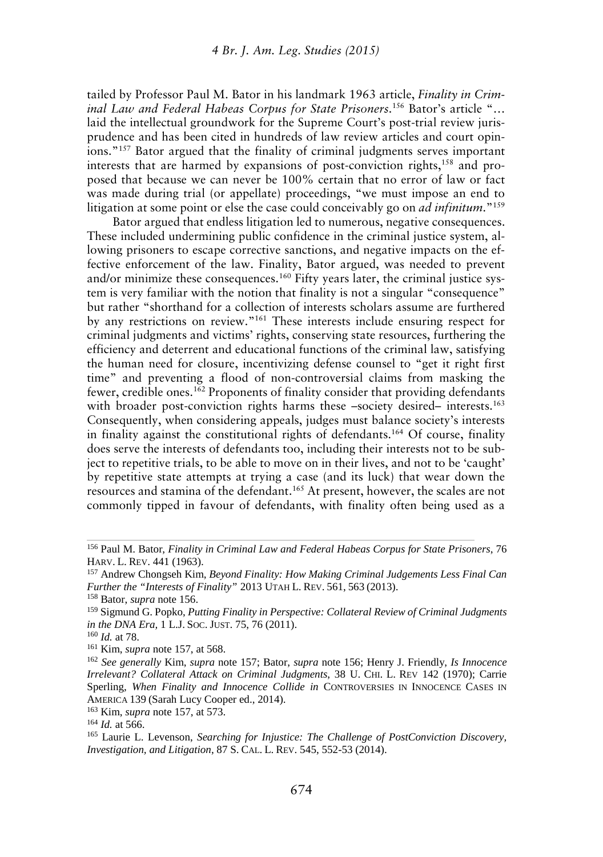tailed by Professor Paul M. Bator in his landmark 1963 article, *Finality in Criminal Law and Federal Habeas Corpus for State Prisoners*.<sup>156</sup> Bator's article "… laid the intellectual groundwork for the Supreme Court's post-trial review jurisprudence and has been cited in hundreds of law review articles and court opinions."<sup>157</sup> Bator argued that the finality of criminal judgments serves important interests that are harmed by expansions of post-conviction rights,<sup>158</sup> and proposed that because we can never be 100% certain that no error of law or fact was made during trial (or appellate) proceedings, "we must impose an end to litigation at some point or else the case could conceivably go on *ad infinitum*."<sup>159</sup>

Bator argued that endless litigation led to numerous, negative consequences. These included undermining public confidence in the criminal justice system, allowing prisoners to escape corrective sanctions, and negative impacts on the effective enforcement of the law. Finality, Bator argued, was needed to prevent and/or minimize these consequences.<sup>160</sup> Fifty years later, the criminal justice system is very familiar with the notion that finality is not a singular "consequence" but rather "shorthand for a collection of interests scholars assume are furthered by any restrictions on review."<sup>161</sup> These interests include ensuring respect for criminal judgments and victims' rights, conserving state resources, furthering the efficiency and deterrent and educational functions of the criminal law, satisfying the human need for closure, incentivizing defense counsel to "get it right first time" and preventing a flood of non-controversial claims from masking the fewer, credible ones.<sup>162</sup> Proponents of finality consider that providing defendants with broader post-conviction rights harms these –society desired– interests.<sup>163</sup> Consequently, when considering appeals, judges must balance society's interests in finality against the constitutional rights of defendants.<sup>164</sup> Of course, finality does serve the interests of defendants too, including their interests not to be subject to repetitive trials, to be able to move on in their lives, and not to be 'caught' by repetitive state attempts at trying a case (and its luck) that wear down the resources and stamina of the defendant.<sup>165</sup> At present, however, the scales are not commonly tipped in favour of defendants, with finality often being used as a

<sup>158</sup> Bator, *supra* note 156.

<sup>156</sup> Paul M. Bator, *Finality in Criminal Law and Federal Habeas Corpus for State Prisoners*, 76 HARV. L. REV. 441 (1963).

<sup>157</sup> Andrew Chongseh Kim, *Beyond Finality: How Making Criminal Judgements Less Final Can Further the "Interests of Finality"* 2013 UTAH L. REV. 561, 563 (2013).

<sup>159</sup> Sigmund G. Popko, *Putting Finality in Perspective: Collateral Review of Criminal Judgments in the DNA Era,* 1 L.J.SOC. JUST. 75, 76 (2011).

<sup>160</sup> *Id.* at 78.

<sup>161</sup> Kim, *supra* note 157, at 568.

<sup>162</sup> *See generally* Kim, *supra* note 157; Bator, *supra* note 156; Henry J. Friendly, *Is Innocence Irrelevant? Collateral Attack on Criminal Judgments*, 38 U. CHI. L. REV 142 (1970); Carrie Sperling, *When Finality and Innocence Collide in* CONTROVERSIES IN INNOCENCE CASES IN AMERICA 139 (Sarah Lucy Cooper ed., 2014).

<sup>163</sup> Kim, *supra* note 157, at 573.

<sup>164</sup> *Id.* at 566.

<sup>165</sup> Laurie L. Levenson, *Searching for Injustice: The Challenge of PostConviction Discovery, Investigation, and Litigation*, 87 S. CAL. L. REV. 545, 552-53 (2014).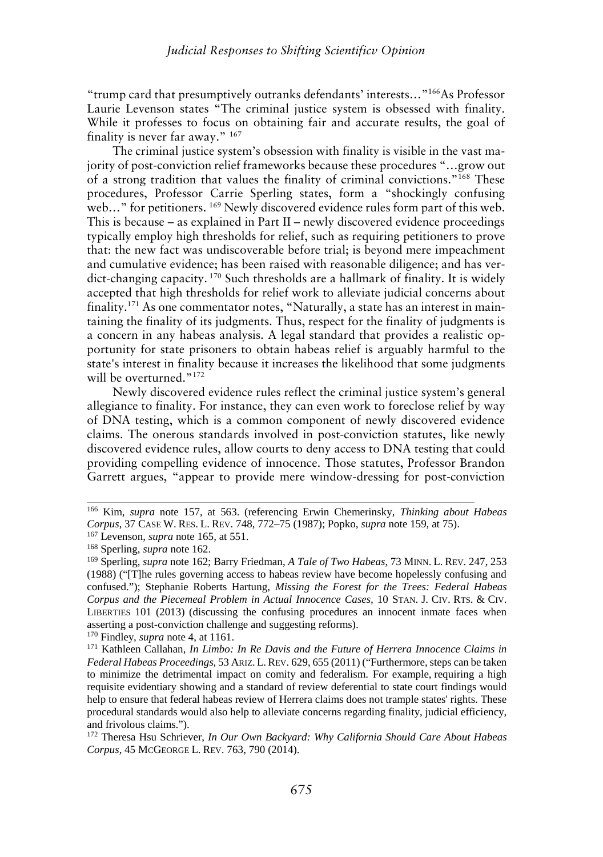"trump card that presumptively outranks defendants' interests…"<sup>166</sup>As Professor Laurie Levenson states "The criminal justice system is obsessed with finality. While it professes to focus on obtaining fair and accurate results, the goal of finality is never far away." <sup>167</sup>

The criminal justice system's obsession with finality is visible in the vast majority of post-conviction relief frameworks because these procedures "…grow out of a strong tradition that values the finality of criminal convictions."<sup>168</sup> These procedures, Professor Carrie Sperling states, form a "shockingly confusing web..." for petitioners. <sup>169</sup> Newly discovered evidence rules form part of this web. This is because – as explained in Part II – newly discovered evidence proceedings typically employ high thresholds for relief, such as requiring petitioners to prove that: the new fact was undiscoverable before trial; is beyond mere impeachment and cumulative evidence; has been raised with reasonable diligence; and has verdict-changing capacity. <sup>170</sup> Such thresholds are a hallmark of finality. It is widely accepted that high thresholds for relief work to alleviate judicial concerns about finality.<sup>171</sup> As one commentator notes, "Naturally, a state has an interest in maintaining the finality of its judgments. Thus, respect for the finality of judgments is a concern in any habeas analysis. A legal standard that provides a realistic opportunity for state prisoners to obtain habeas relief is arguably harmful to the state's interest in finality because it increases the likelihood that some judgments will be overturned." 172

Newly discovered evidence rules reflect the criminal justice system's general allegiance to finality. For instance, they can even work to foreclose relief by way of DNA testing, which is a common component of newly discovered evidence claims. The onerous standards involved in post-conviction statutes, like newly discovered evidence rules, allow courts to deny access to DNA testing that could providing compelling evidence of innocence. Those statutes, Professor Brandon Garrett argues, "appear to provide mere window-dressing for post-conviction

<sup>166</sup> Kim, *supra* note 157, at 563. (referencing Erwin Chemerinsky, *Thinking about Habeas Corpus*, 37 CASE W. RES. L. REV. 748, 772–75 (1987); Popko, *supra* note 159, at 75).

<sup>167</sup> Levenson, *supra* note 165, at 551.

<sup>168</sup> Sperling, *supra* note 162.

<sup>169</sup> Sperling, *supra* note 162; Barry Friedman, *A Tale of Two Habeas*, 73 MINN. L. REV. 247, 253 (1988) ("[T]he rules governing access to habeas review have become hopelessly confusing and confused."); Stephanie Roberts Hartung, *Missing the Forest for the Trees: Federal Habeas Corpus and the Piecemeal Problem in Actual Innocence Cases,* 10 STAN. J. CIV. RTS. & CIV. LIBERTIES 101 (2013) (discussing the confusing procedures an innocent inmate faces when asserting a post-conviction challenge and suggesting reforms). <sup>170</sup> Findley, *supra* note 4, at 1161.

<sup>171</sup> Kathleen Callahan, *In Limbo: In Re Davis and the Future of Herrera Innocence Claims in Federal Habeas Proceedings*, 53 ARIZ. L.REV. 629, 655 (2011) ("Furthermore, steps can be taken to minimize the detrimental impact on comity and federalism. For example, requiring a high requisite evidentiary showing and a standard of review deferential to state court findings would help to ensure that federal habeas review of Herrera claims does not trample states' rights. These procedural standards would also help to alleviate concerns regarding finality, judicial efficiency, and frivolous claims.").

<sup>172</sup> Theresa Hsu Schriever, *In Our Own Backyard: Why California Should Care About Habeas Corpus*, 45 MCGEORGE L. REV. 763, 790 (2014).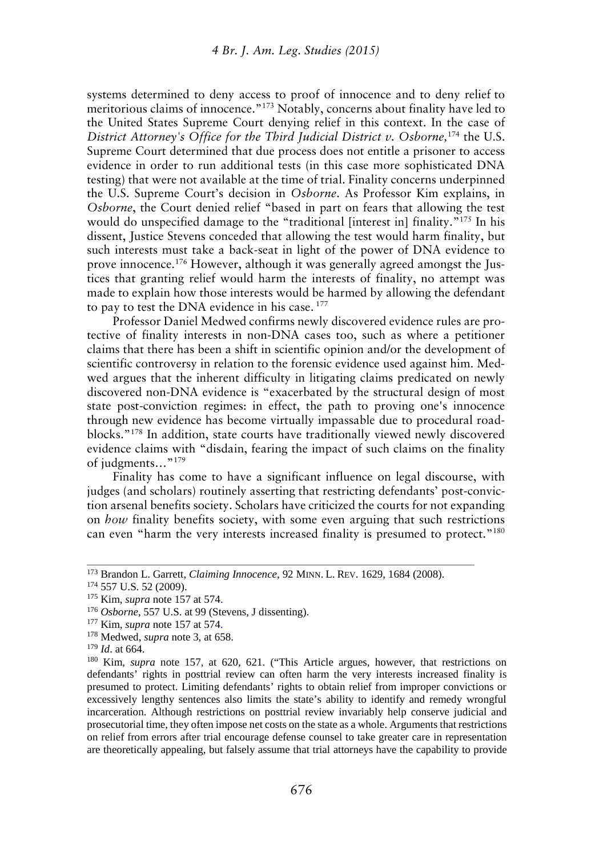systems determined to deny access to proof of innocence and to deny relief to meritorious claims of innocence." <sup>173</sup> Notably, concerns about finality have led to the United States Supreme Court denying relief in this context. In the case of *District Attorney's Office for the Third Judicial District v. Osborne,*<sup>174</sup> the U.S. Supreme Court determined that due process does not entitle a prisoner to access evidence in order to run additional tests (in this case more sophisticated DNA testing) that were not available at the time of trial. Finality concerns underpinned the U.S. Supreme Court's decision in *Osborne*. As Professor Kim explains, in *Osborne*, the Court denied relief "based in part on fears that allowing the test would do unspecified damage to the "traditional [interest in] finality."<sup>175</sup> In his dissent, Justice Stevens conceded that allowing the test would harm finality, but such interests must take a back-seat in light of the power of DNA evidence to prove innocence.<sup>176</sup> However, although it was generally agreed amongst the Justices that granting relief would harm the interests of finality, no attempt was made to explain how those interests would be harmed by allowing the defendant to pay to test the DNA evidence in his case. <sup>177</sup>

Professor Daniel Medwed confirms newly discovered evidence rules are protective of finality interests in non-DNA cases too, such as where a petitioner claims that there has been a shift in scientific opinion and/or the development of scientific controversy in relation to the forensic evidence used against him. Medwed argues that the inherent difficulty in litigating claims predicated on newly discovered non-DNA evidence is "exacerbated by the structural design of most state post-conviction regimes: in effect, the path to proving one's innocence through new evidence has become virtually impassable due to procedural roadblocks." <sup>178</sup> In addition, state courts have traditionally viewed newly discovered evidence claims with "disdain, fearing the impact of such claims on the finality of judgments…"<sup>179</sup>

Finality has come to have a significant influence on legal discourse, with judges (and scholars) routinely asserting that restricting defendants' post-conviction arsenal benefits society. Scholars have criticized the courts for not expanding on *how* finality benefits society, with some even arguing that such restrictions can even "harm the very interests increased finality is presumed to protect."<sup>180</sup>

<sup>173</sup> Brandon L. Garrett, *Claiming Innocence*, 92 MINN. L. REV. 1629, 1684 (2008).

<sup>174</sup> 557 U.S. 52 (2009).

<sup>175</sup> Kim, *supra* note 157 at 574.

<sup>176</sup> *Osborne*, 557 U.S. at 99 (Stevens, J dissenting).

<sup>177</sup> Kim, *supra* note 157 at 574.

<sup>178</sup> Medwed, *supra* note 3, at 658.

<sup>179</sup> *Id*. at 664.

<sup>180</sup> Kim, *supra* note 157, at 620, 621. ("This Article argues, however, that restrictions on defendants' rights in posttrial review can often harm the very interests increased finality is presumed to protect. Limiting defendants' rights to obtain relief from improper convictions or excessively lengthy sentences also limits the state's ability to identify and remedy wrongful incarceration. Although restrictions on posttrial review invariably help conserve judicial and prosecutorial time, they often impose net costs on the state as a whole. Arguments that restrictions on relief from errors after trial encourage defense counsel to take greater care in representation are theoretically appealing, but falsely assume that trial attorneys have the capability to provide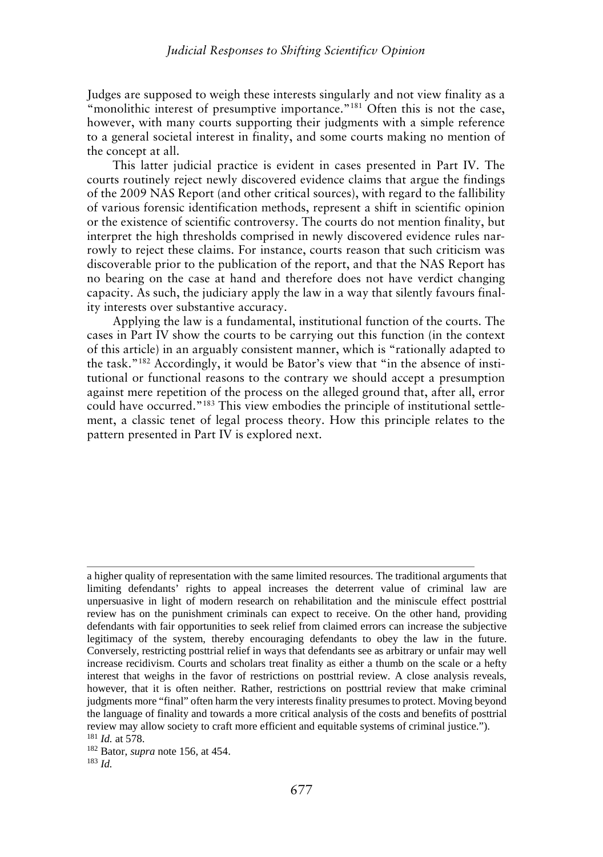Judges are supposed to weigh these interests singularly and not view finality as a "monolithic interest of presumptive importance."<sup>181</sup> Often this is not the case, however, with many courts supporting their judgments with a simple reference to a general societal interest in finality, and some courts making no mention of the concept at all.

This latter judicial practice is evident in cases presented in Part IV. The courts routinely reject newly discovered evidence claims that argue the findings of the 2009 NAS Report (and other critical sources), with regard to the fallibility of various forensic identification methods, represent a shift in scientific opinion or the existence of scientific controversy. The courts do not mention finality, but interpret the high thresholds comprised in newly discovered evidence rules narrowly to reject these claims. For instance, courts reason that such criticism was discoverable prior to the publication of the report, and that the NAS Report has no bearing on the case at hand and therefore does not have verdict changing capacity. As such, the judiciary apply the law in a way that silently favours finality interests over substantive accuracy.

Applying the law is a fundamental, institutional function of the courts. The cases in Part IV show the courts to be carrying out this function (in the context of this article) in an arguably consistent manner, which is "rationally adapted to the task."<sup>182</sup> Accordingly, it would be Bator's view that "in the absence of institutional or functional reasons to the contrary we should accept a presumption against mere repetition of the process on the alleged ground that, after all, error could have occurred."<sup>183</sup> This view embodies the principle of institutional settlement, a classic tenet of legal process theory. How this principle relates to the pattern presented in Part IV is explored next.

a higher quality of representation with the same limited resources. The traditional arguments that limiting defendants' rights to appeal increases the deterrent value of criminal law are unpersuasive in light of modern research on rehabilitation and the miniscule effect posttrial review has on the punishment criminals can expect to receive. On the other hand, providing defendants with fair opportunities to seek relief from claimed errors can increase the subjective legitimacy of the system, thereby encouraging defendants to obey the law in the future. Conversely, restricting posttrial relief in ways that defendants see as arbitrary or unfair may well increase recidivism. Courts and scholars treat finality as either a thumb on the scale or a hefty interest that weighs in the favor of restrictions on posttrial review. A close analysis reveals, however, that it is often neither. Rather, restrictions on posttrial review that make criminal judgments more "final" often harm the very interests finality presumes to protect. Moving beyond the language of finality and towards a more critical analysis of the costs and benefits of posttrial review may allow society to craft more efficient and equitable systems of criminal justice.").

<sup>181</sup> *Id.* at 578.

<sup>182</sup> Bator, *supra* note 156, at 454.

<sup>183</sup> *Id.*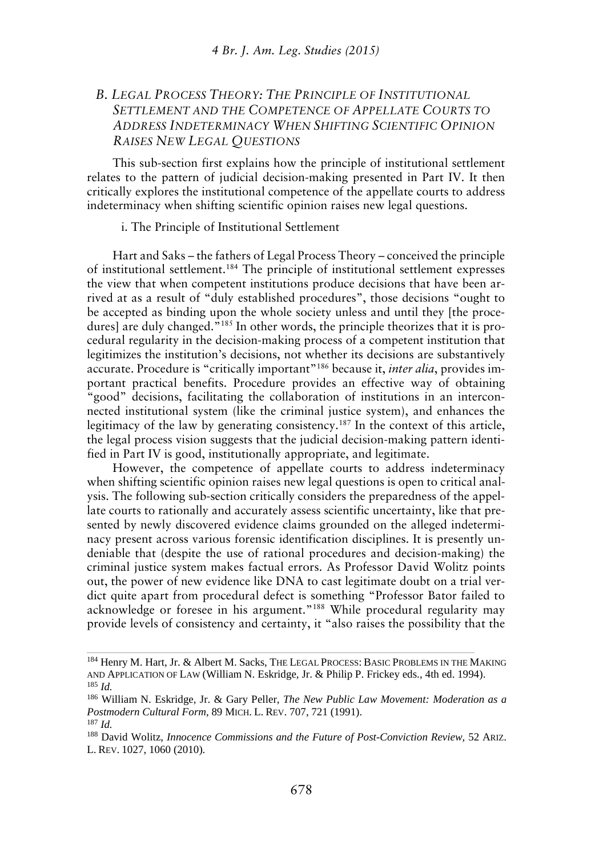# *B. LEGAL PROCESS THEORY: THE PRINCIPLE OF INSTITUTIONAL SETTLEMENT AND THE COMPETENCE OF APPELLATE COURTS TO ADDRESS INDETERMINACY WHEN SHIFTING SCIENTIFIC OPINION RAISES NEW LEGAL QUESTIONS*

This sub-section first explains how the principle of institutional settlement relates to the pattern of judicial decision-making presented in Part IV. It then critically explores the institutional competence of the appellate courts to address indeterminacy when shifting scientific opinion raises new legal questions.

#### i. The Principle of Institutional Settlement

Hart and Saks – the fathers of Legal Process Theory – conceived the principle of institutional settlement.<sup>184</sup> The principle of institutional settlement expresses the view that when competent institutions produce decisions that have been arrived at as a result of "duly established procedures", those decisions "ought to be accepted as binding upon the whole society unless and until they [the procedures] are duly changed."<sup>185</sup> In other words, the principle theorizes that it is procedural regularity in the decision-making process of a competent institution that legitimizes the institution's decisions, not whether its decisions are substantively accurate. Procedure is "critically important"<sup>186</sup> because it, *inter alia*, provides important practical benefits. Procedure provides an effective way of obtaining "good" decisions, facilitating the collaboration of institutions in an interconnected institutional system (like the criminal justice system), and enhances the legitimacy of the law by generating consistency.<sup>187</sup> In the context of this article, the legal process vision suggests that the judicial decision-making pattern identified in Part IV is good, institutionally appropriate, and legitimate.

However, the competence of appellate courts to address indeterminacy when shifting scientific opinion raises new legal questions is open to critical analysis. The following sub-section critically considers the preparedness of the appellate courts to rationally and accurately assess scientific uncertainty, like that presented by newly discovered evidence claims grounded on the alleged indeterminacy present across various forensic identification disciplines. It is presently undeniable that (despite the use of rational procedures and decision-making) the criminal justice system makes factual errors. As Professor David Wolitz points out, the power of new evidence like DNA to cast legitimate doubt on a trial verdict quite apart from procedural defect is something "Professor Bator failed to acknowledge or foresee in his argument."<sup>188</sup> While procedural regularity may provide levels of consistency and certainty, it "also raises the possibility that the

<sup>184</sup> Henry M. Hart, Jr. & Albert M. Sacks, THE LEGAL PROCESS: BASIC PROBLEMS IN THE MAKING AND APPLICATION OF LAW (William N. Eskridge, Jr. & Philip P. Frickey eds., 4th ed. 1994). <sup>185</sup> *Id.*

<sup>186</sup> William N. Eskridge, Jr. & Gary Peller, *The New Public Law Movement: Moderation as a Postmodern Cultural Form*, 89 MICH. L. REV. 707, 721 (1991).

<sup>187</sup> *Id.*

<sup>188</sup> David Wolitz, *Innocence Commissions and the Future of Post-Conviction Review*, 52 ARIZ. L. REV. 1027, 1060 (2010).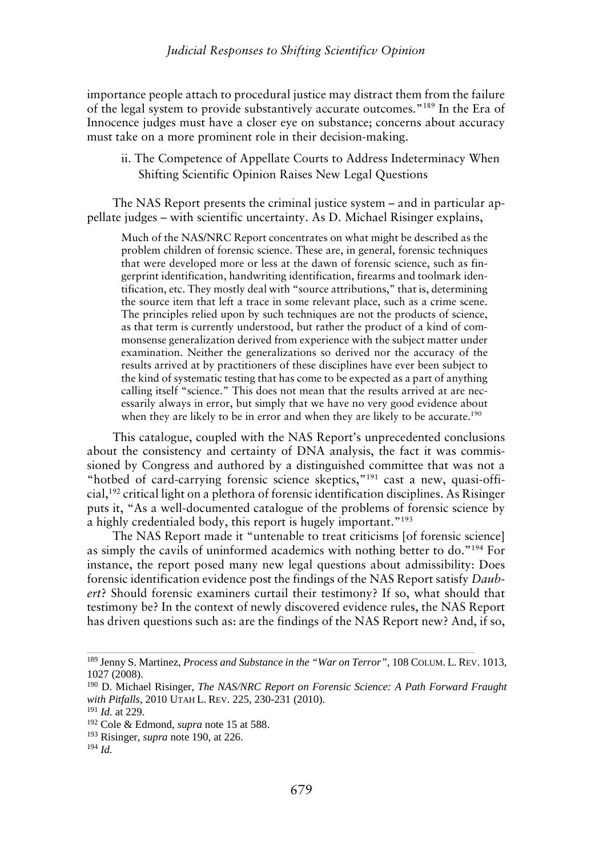### *Judicial Responses to Shifting Scientificv Opinion*

importance people attach to procedural justice may distract them from the failure of the legal system to provide substantively accurate outcomes."<sup>189</sup> In the Era of Innocence judges must have a closer eye on substance; concerns about accuracy must take on a more prominent role in their decision-making.

ii. The Competence of Appellate Courts to Address Indeterminacy When Shifting Scientific Opinion Raises New Legal Questions

The NAS Report presents the criminal justice system – and in particular appellate judges – with scientific uncertainty. As D. Michael Risinger explains,

Much of the NAS/NRC Report concentrates on what might be described as the problem children of forensic science. These are, in general, forensic techniques that were developed more or less at the dawn of forensic science, such as fingerprint identification, handwriting identification, firearms and toolmark identification, etc. They mostly deal with "source attributions," that is, determining the source item that left a trace in some relevant place, such as a crime scene. The principles relied upon by such techniques are not the products of science, as that term is currently understood, but rather the product of a kind of commonsense generalization derived from experience with the subject matter under examination. Neither the generalizations so derived nor the accuracy of the results arrived at by practitioners of these disciplines have ever been subject to the kind of systematic testing that has come to be expected as a part of anything calling itself "science." This does not mean that the results arrived at are necessarily always in error, but simply that we have no very good evidence about when they are likely to be in error and when they are likely to be accurate.<sup>190</sup>

This catalogue, coupled with the NAS Report's unprecedented conclusions about the consistency and certainty of DNA analysis, the fact it was commissioned by Congress and authored by a distinguished committee that was not a "hotbed of card-carrying forensic science skeptics,"<sup>191</sup> cast a new, quasi-official,<sup>192</sup> critical light on a plethora of forensic identification disciplines. As Risinger puts it, "As a well-documented catalogue of the problems of forensic science by a highly credentialed body, this report is hugely important."<sup>193</sup>

The NAS Report made it "untenable to treat criticisms [of forensic science] as simply the cavils of uninformed academics with nothing better to do."<sup>194</sup> For instance, the report posed many new legal questions about admissibility: Does forensic identification evidence post the findings of the NAS Report satisfy *Daubert*? Should forensic examiners curtail their testimony? If so, what should that testimony be? In the context of newly discovered evidence rules, the NAS Report has driven questions such as: are the findings of the NAS Report new? And, if so,

<sup>189</sup> Jenny S. Martinez, *Process and Substance in the "War on Terror",* 108 COLUM. L. REV. 1013, 1027 (2008).

<sup>190</sup> D. Michael Risinger, *The NAS/NRC Report on Forensic Science: A Path Forward Fraught with Pitfalls*, 2010 UTAH L. REV. 225, 230-231 (2010).

<sup>191</sup> *Id.* at 229.

<sup>192</sup> Cole & Edmond, *supra* note 15 at 588.

<sup>193</sup> Risinger, *supra* note 190, at 226.

<sup>194</sup> *Id.*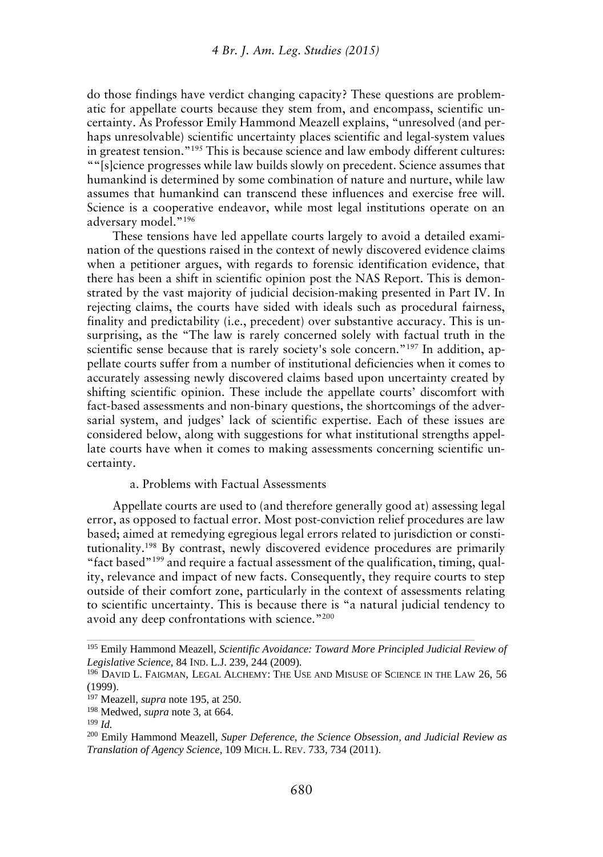do those findings have verdict changing capacity? These questions are problematic for appellate courts because they stem from, and encompass, scientific uncertainty. As Professor Emily Hammond Meazell explains, "unresolved (and perhaps unresolvable) scientific uncertainty places scientific and legal-system values in greatest tension."<sup>195</sup> This is because science and law embody different cultures: ""[s]cience progresses while law builds slowly on precedent. Science assumes that humankind is determined by some combination of nature and nurture, while law assumes that humankind can transcend these influences and exercise free will. Science is a cooperative endeavor, while most legal institutions operate on an adversary model."<sup>196</sup>

These tensions have led appellate courts largely to avoid a detailed examination of the questions raised in the context of newly discovered evidence claims when a petitioner argues, with regards to forensic identification evidence, that there has been a shift in scientific opinion post the NAS Report. This is demonstrated by the vast majority of judicial decision-making presented in Part IV. In rejecting claims, the courts have sided with ideals such as procedural fairness, finality and predictability (i.e., precedent) over substantive accuracy. This is unsurprising, as the "The law is rarely concerned solely with factual truth in the scientific sense because that is rarely society's sole concern."<sup>197</sup> In addition, appellate courts suffer from a number of institutional deficiencies when it comes to accurately assessing newly discovered claims based upon uncertainty created by shifting scientific opinion. These include the appellate courts' discomfort with fact-based assessments and non-binary questions, the shortcomings of the adversarial system, and judges' lack of scientific expertise. Each of these issues are considered below, along with suggestions for what institutional strengths appellate courts have when it comes to making assessments concerning scientific uncertainty.

### a. Problems with Factual Assessments

Appellate courts are used to (and therefore generally good at) assessing legal error, as opposed to factual error. Most post-conviction relief procedures are law based; aimed at remedying egregious legal errors related to jurisdiction or constitutionality.<sup>198</sup> By contrast, newly discovered evidence procedures are primarily "fact based"<sup>199</sup> and require a factual assessment of the qualification, timing, quality, relevance and impact of new facts. Consequently, they require courts to step outside of their comfort zone, particularly in the context of assessments relating to scientific uncertainty. This is because there is "a natural judicial tendency to avoid any deep confrontations with science."<sup>200</sup>

<sup>195</sup> Emily Hammond Meazell, *Scientific Avoidance: Toward More Principled Judicial Review of Legislative Science*, 84 IND. L.J. 239, 244 (2009).

<sup>196</sup> DAVID L. FAIGMAN, LEGAL ALCHEMY: THE USE AND MISUSE OF SCIENCE IN THE LAW 26, 56 (1999).

<sup>197</sup> Meazell, *supra* note 195, at 250.

<sup>198</sup> Medwed, *supra* note 3, at 664.

<sup>199</sup> *Id.*

<sup>200</sup> Emily Hammond Meazell, *Super Deference, the Science Obsession, and Judicial Review as Translation of Agency Science*, 109 MICH. L. REV. 733, 734 (2011).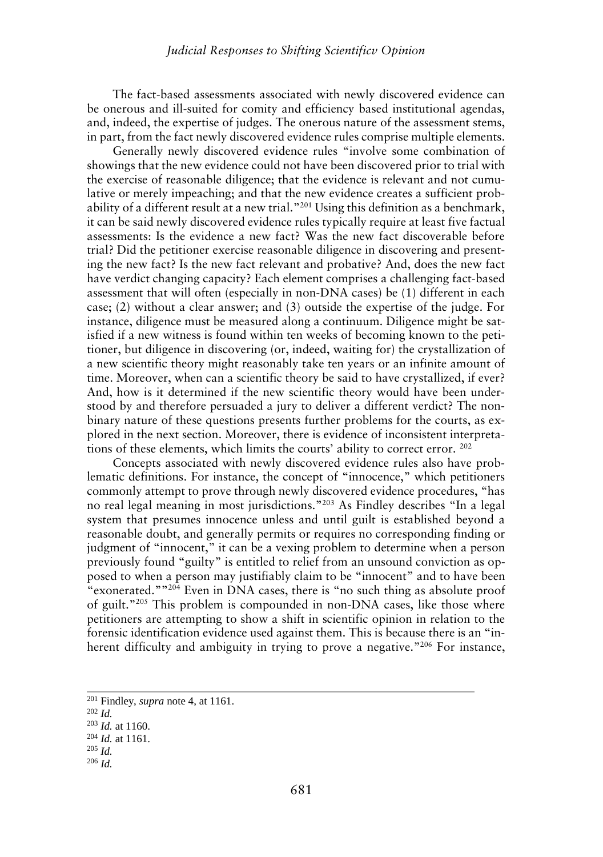The fact-based assessments associated with newly discovered evidence can be onerous and ill-suited for comity and efficiency based institutional agendas, and, indeed, the expertise of judges. The onerous nature of the assessment stems, in part, from the fact newly discovered evidence rules comprise multiple elements.

Generally newly discovered evidence rules "involve some combination of showings that the new evidence could nothave been discovered prior to trial with the exercise of reasonable diligence; that the evidence is relevant and not cumulative or merely impeaching; and that the new evidence creates a sufficient probability of a different result at a new trial."<sup>201</sup> Using this definition as a benchmark, it can be said newly discovered evidence rules typically require at least five factual assessments: Is the evidence a new fact? Was the new fact discoverable before trial? Did the petitioner exercise reasonable diligence in discovering and presenting the new fact? Is the new fact relevant and probative? And, does the new fact have verdict changing capacity? Each element comprises a challenging fact-based assessment that will often (especially in non-DNA cases) be (1) different in each case; (2) without a clear answer; and (3) outside the expertise of the judge. For instance, diligence must be measured along a continuum. Diligence might be satisfied if a new witness is found within ten weeks of becoming known to the petitioner, but diligence in discovering (or, indeed, waiting for) the crystallization of a new scientific theory might reasonably take ten years or an infinite amount of time. Moreover, when can a scientific theory be said to have crystallized, if ever? And, how is it determined if the new scientific theory would have been understood by and therefore persuaded a jury to deliver a different verdict? The non binary nature of these questions presents further problems for the courts, as explored in the next section. Moreover, there is evidence of inconsistent interpretations of these elements, which limits the courts' ability to correct error. <sup>202</sup>

Concepts associated with newly discovered evidence rules also have problematic definitions. For instance, the concept of "innocence," which petitioners commonly attempt to prove through newly discovered evidence procedures, "has no real legal meaning in most jurisdictions."<sup>203</sup> As Findley describes "In a legal system that presumes innocence unless and until guilt is established beyond a reasonable doubt, and generally permits or requires no corresponding finding or judgment of "innocent," it can be a vexing problem to determine when a person previously found "guilty" is entitled to relief from an unsound conviction as opposed to when a person may justifiably claim to be "innocent" and to have been "exonerated." $204$  Even in DNA cases, there is "no such thing as absolute proof of guilt."<sup>205</sup> This problem is compounded in non-DNA cases, like those where petitioners are attempting to show a shift in scientific opinion in relation to the forensic identification evidence used against them. This is because there is an "inherent difficulty and ambiguity in trying to prove a negative."<sup>206</sup> For instance,

<sup>201</sup> Findley, *supra* note 4, at 1161.

<sup>202</sup> *Id.*

<sup>203</sup> *Id.* at 1160.

<sup>204</sup> *Id.* at 1161.

<sup>205</sup> *Id.*

<sup>206</sup> *Id.*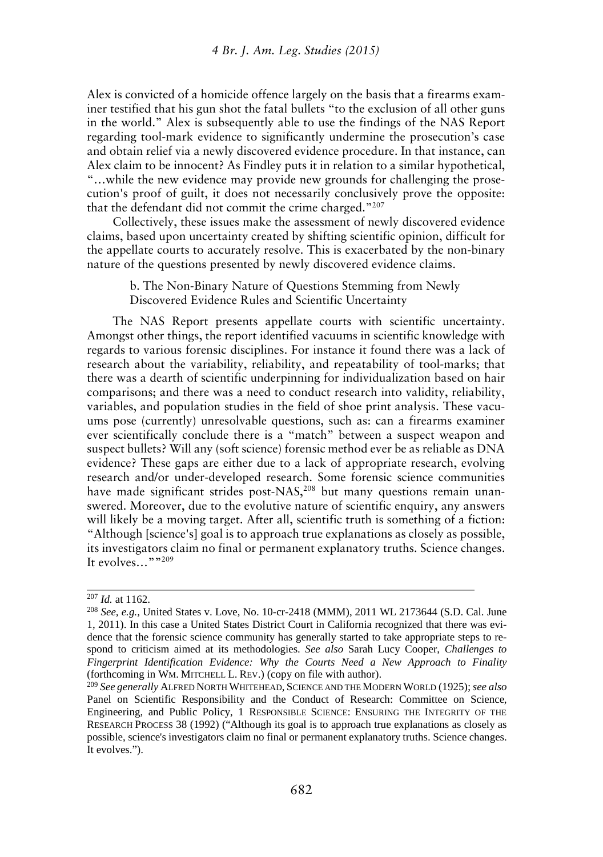Alex is convicted of a homicide offence largely on the basis that a firearms examiner testified that his gun shot the fatal bullets "to the exclusion of all other guns in the world." Alex is subsequently able to use the findings of the NAS Report regarding tool-mark evidence to significantly undermine the prosecution's case and obtain relief via a newly discovered evidence procedure. In that instance, can Alex claim to be innocent? As Findley puts it in relation to a similar hypothetical, "…while the new evidence may provide new grounds for challenging the prosecution's proof of guilt, it does not necessarily conclusively prove the opposite: that the defendant did not commit the crime charged."<sup>207</sup>

Collectively, these issues make the assessment of newly discovered evidence claims, based upon uncertainty created by shifting scientific opinion, difficult for the appellate courts to accurately resolve. This is exacerbated by the non-binary nature of the questions presented by newly discovered evidence claims.

> b. The Non-Binary Nature of Questions Stemming from Newly Discovered Evidence Rules and Scientific Uncertainty

The NAS Report presents appellate courts with scientific uncertainty. Amongst other things, the report identified vacuums in scientific knowledge with regards to various forensic disciplines. For instance it found there was a lack of research about the variability, reliability, and repeatability of tool-marks; that there was a dearth of scientific underpinning for individualization based on hair comparisons; and there was a need to conduct research into validity, reliability, variables, and population studies in the field of shoe print analysis. These vacuums pose (currently) unresolvable questions, such as: can a firearms examiner ever scientifically conclude there is a "match" between a suspect weapon and suspect bullets? Will any (soft science) forensic method ever be as reliable as DNA evidence? These gaps are either due to a lack of appropriate research, evolving research and/or under-developed research. Some forensic science communities have made significant strides post-NAS,<sup>208</sup> but many questions remain unanswered. Moreover, due to the evolutive nature of scientific enquiry, any answers will likely be a moving target. After all, scientific truth is something of a fiction: "Although [science's] goal is to approach true explanations as closely as possible, its investigators claim no final or permanent explanatory truths. Science changes. It evolves...""209

<sup>207</sup> *Id.* at 1162.

<sup>208</sup> *See, e.g.,* United States v. Love, No. 10-cr-2418 (MMM), 2011 WL 2173644 (S.D. Cal. June 1, 2011). In this case a United States District Court in California recognized that there was evidence that the forensic science community has generally started to take appropriate steps to respond to criticism aimed at its methodologies. *See also* Sarah Lucy Cooper, *Challenges to Fingerprint Identification Evidence: Why the Courts Need a New Approach to Finality* (forthcoming in WM. MITCHELL L. REV.) (copy on file with author).

<sup>209</sup> *See generally* ALFRED NORTH WHITEHEAD, SCIENCE AND THE MODERN WORLD (1925);*see also* Panel on Scientific Responsibility and the Conduct of Research: Committee on Science, Engineering, and Public Policy, 1 RESPONSIBLE SCIENCE: ENSURING THE INTEGRITY OF THE RESEARCH PROCESS 38 (1992) ("Although its goal is to approach true explanations as closely as possible, science's investigators claim no final or permanent explanatory truths. Science changes. It evolves.").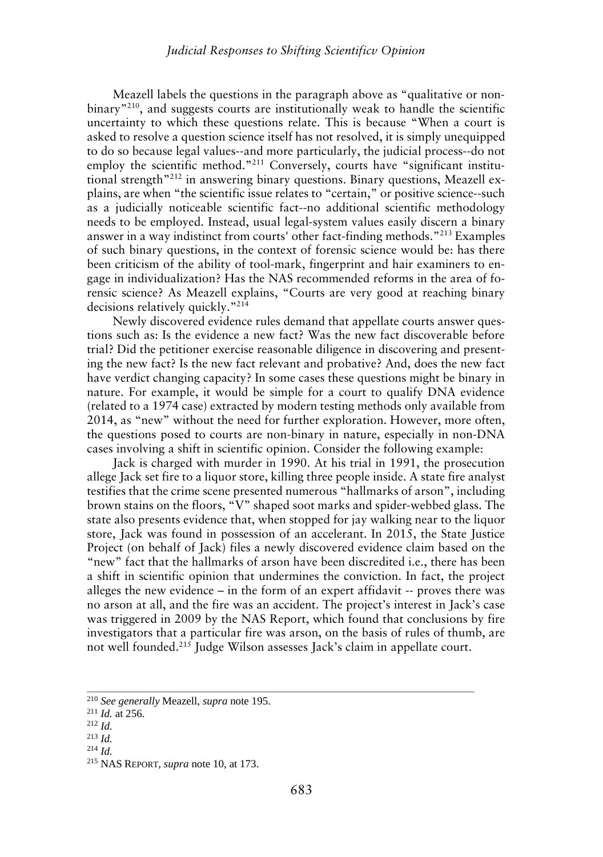Meazell labels the questions in the paragraph above as "qualitative or non binary"<sup>210</sup>, and suggests courts are institutionally weak to handle the scientific uncertainty to which these questions relate. This is because "When a court is asked to resolve a question science itself has not resolved, it is simply unequipped to do so because legal values--and more particularly, the judicial process--do not employ the scientific method."<sup>211</sup> Conversely, courts have "significant institutional strength<sup>"212</sup> in answering binary questions. Binary questions, Meazell explains, are when "the scientific issue relates to "certain," or positive science--such as a judicially noticeable scientific fact--no additional scientific methodology needs to be employed. Instead, usual legal-system values easily discern a binary answer in a way indistinct from courts' other fact-finding methods."<sup>213</sup> Examples of such binary questions, in the context of forensic science would be: has there been criticism of the ability of tool-mark, fingerprint and hair examiners to engage in individualization? Has the NAS recommended reforms in the area of forensic science? As Meazell explains, "Courts are very good at reaching binary decisions relatively quickly."<sup>214</sup>

Newly discovered evidence rules demand that appellate courts answer questions such as: Is the evidence a new fact? Was the new fact discoverable before trial? Did the petitioner exercise reasonable diligence in discovering and presenting the new fact? Is the new fact relevant and probative? And, does the new fact have verdict changing capacity? In some cases these questions might be binary in nature. For example, it would be simple for a court to qualify DNA evidence (related to a 1974 case) extracted by modern testing methods only available from 2014, as "new" without the need for further exploration. However, more often, the questions posed to courts are non-binary in nature, especially in non-DNA cases involving a shift in scientific opinion. Consider the following example:

Jack is charged with murder in 1990. At his trial in 1991, the prosecution allege Jack set fire to a liquor store, killing three people inside. A state fire analyst testifies that the crime scene presented numerous "hallmarks of arson", including brown stains on the floors, "V" shaped soot marks and spider-webbed glass. The state also presents evidence that, when stopped for jay walking near to the liquor store, Jack was found in possession of an accelerant. In 2015, the State Justice Project (on behalf of Jack) files a newly discovered evidence claim based on the "new" fact that the hallmarks of arson have been discredited i.e., there has been a shift in scientific opinion that undermines the conviction. In fact, the project alleges the new evidence – in the form of an expert affidavit -- proves there was no arson at all, and the fire was an accident. The project's interest in Jack's case was triggered in 2009 by the NAS Report, which found that conclusions by fire investigators that a particular fire was arson, on the basis of rules of thumb, are not well founded.<sup>215</sup> Judge Wilson assesses Jack's claim in appellate court.

<sup>210</sup> *See generally* Meazell, *supra* note 195.

<sup>211</sup> *Id.* at 256.

<sup>212</sup> *Id.*

<sup>213</sup> *Id.*

<sup>214</sup> *Id.*

<sup>215</sup> NAS REPORT, *supra* note 10, at 173.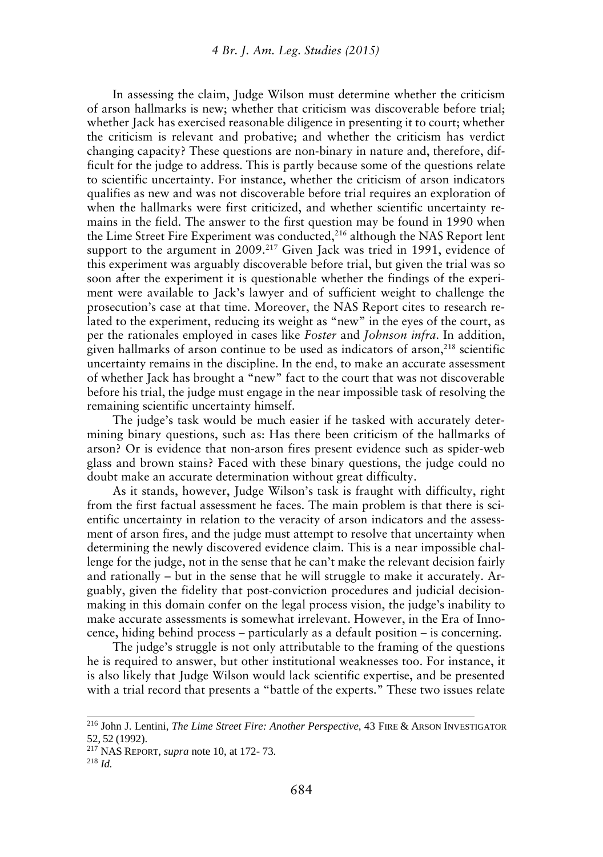In assessing the claim, Judge Wilson must determine whether the criticism of arson hallmarks is new; whether that criticism was discoverable before trial; whether Jack has exercised reasonable diligence in presenting it to court; whether the criticism is relevant and probative; and whether the criticism has verdict changing capacity? These questions are non-binary in nature and, therefore, difficult for the judge to address. This is partly because some of the questions relate to scientific uncertainty. For instance, whether the criticism of arson indicators qualifies as new and was not discoverable before trial requires an exploration of when the hallmarks were first criticized, and whether scientific uncertainty remains in the field. The answer to the first question may be found in 1990 when the Lime Street Fire Experiment was conducted,<sup>216</sup> although the NAS Report lent support to the argument in 2009.<sup>217</sup> Given Jack was tried in 1991, evidence of this experiment was arguably discoverable before trial, but given the trial was so soon after the experiment it is questionable whether the findings of the experiment were available to Jack's lawyer and of sufficient weight to challenge the prosecution's case at that time. Moreover, the NAS Report cites to research related to the experiment, reducing its weight as "new" in the eyes of the court, as per the rationales employed in cases like *Foster* and *Johnson infra*. In addition, given hallmarks of arson continue to be used as indicators of arson, $^{218}$  scientific uncertainty remains in the discipline. In the end, to make an accurate assessment of whether Jack has brought a "new" fact to the court that was not discoverable before his trial, the judge must engage in the near impossible task of resolving the remaining scientific uncertainty himself.

The judge's task would be much easier if he tasked with accurately determining binary questions, such as: Has there been criticism of the hallmarks of arson? Or is evidence that non-arson fires present evidence such as spider-web glass and brown stains? Faced with these binary questions, the judge could no doubt make an accurate determination without great difficulty.

As it stands, however, Judge Wilson's task is fraught with difficulty, right from the first factual assessment he faces. The main problem is that there is scientific uncertainty in relation to the veracity of arson indicators and the assessment of arson fires, and the judge must attempt to resolve that uncertainty when determining the newly discovered evidence claim. This is a near impossible challenge for the judge, not in the sense that he can't make the relevant decision fairly and rationally – but in the sense that he will struggle to make it accurately. Arguably, given the fidelity that post-conviction procedures and judicial decision making in this domain confer on the legal process vision, the judge's inability to make accurate assessments is somewhat irrelevant. However, in the Era of Innocence, hiding behind process – particularly as a default position – is concerning.

The judge's struggle is not only attributable to the framing of the questions he is required to answer, but other institutional weaknesses too. For instance, it is also likely that Judge Wilson would lack scientific expertise, and be presented with a trial record that presents a "battle of the experts." These two issues relate

<sup>216</sup> John J. Lentini, *The Lime Street Fire: Another Perspective*, 43 FIRE & ARSON INVESTIGATOR 52, 52 (1992).

<sup>217</sup> NAS REPORT, *supra* note 10, at 172- 73.

<sup>218</sup> *Id.*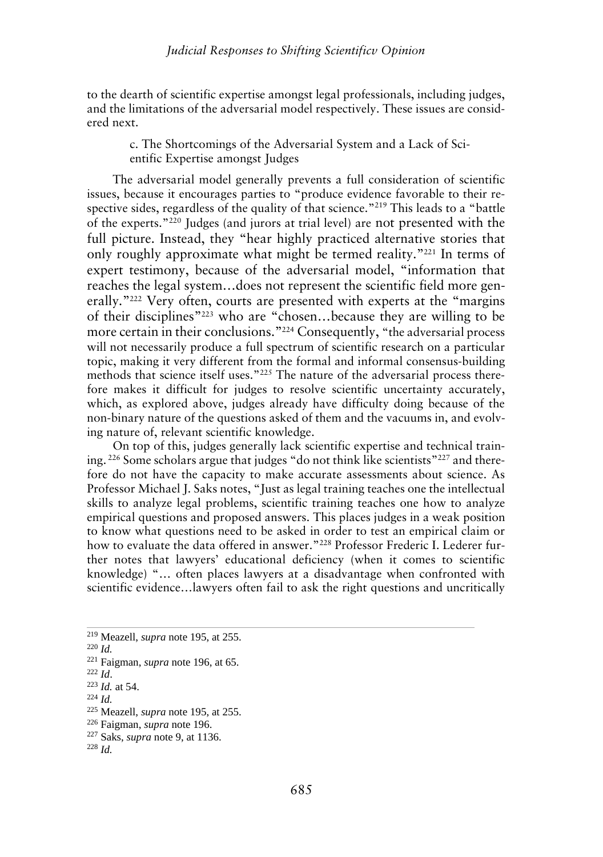to the dearth of scientific expertise amongst legal professionals, including judges, and the limitations of the adversarial model respectively. These issues are considered next.

> c. The Shortcomings of the Adversarial System and a Lack of Scientific Expertise amongst Judges

The adversarial model generally prevents a full consideration of scientific issues, because it encourages parties to "produce evidence favorable to their respective sides, regardless of the quality of that science."<sup>219</sup> This leads to a "battle of the experts."<sup>220</sup> Judges (and jurors at trial level) are not presented with the full picture. Instead, they "hear highly practiced alternative stories that only roughly approximate what might be termed reality."<sup>221</sup> In terms of expert testimony, because of the adversarial model, "information that reaches the legal system…does not represent the scientific field more generally."<sup>222</sup> Very often, courts are presented with experts at the "margins of their disciplines"<sup>223</sup> who are "chosen…because they are willing to be more certain in their conclusions."<sup>224</sup> Consequently, "the adversarial process will not necessarily produce a full spectrum of scientific research on a particular topic, making it very different from the formal and informal consensus-building methods that science itself uses."<sup>225</sup> The nature of the adversarial process therefore makes it difficult for judges to resolve scientific uncertainty accurately, which, as explored above, judges already have difficulty doing because of the non-binary nature of the questions asked of them and the vacuums in, and evolving nature of, relevant scientific knowledge.

On top of this, judges generally lack scientific expertise and technical training. <sup>226</sup> Some scholars argue that judges "do not think like scientists"<sup>227</sup> and therefore do not have the capacity to make accurate assessments about science. As Professor Michael J. Saks notes, "Just as legal training teaches one the intellectual skills to analyze legal problems, scientific training teaches one how to analyze empirical questions and proposed answers. This places judges in a weak position to know what questions need to be asked in order to test an empirical claim or how to evaluate the data offered in answer."<sup>228</sup> Professor Frederic I. Lederer further notes that lawyers' educational deficiency (when it comes to scientific knowledge) "… often places lawyers at a disadvantage when confronted with scientific evidence…lawyers often fail to ask the right questions and uncritically

<sup>224</sup> *Id.*

<sup>219</sup> Meazell, *supra* note 195, at 255.

<sup>220</sup> *Id.*

<sup>221</sup> Faigman, *supra* note 196, at 65.

<sup>222</sup> *Id*.

<sup>223</sup> *Id.* at 54.

<sup>225</sup> Meazell, *supra* note 195, at 255.

<sup>226</sup> Faigman, *supra* note 196.

<sup>227</sup> Saks, *supra* note 9, at 1136.

<sup>228</sup> *Id.*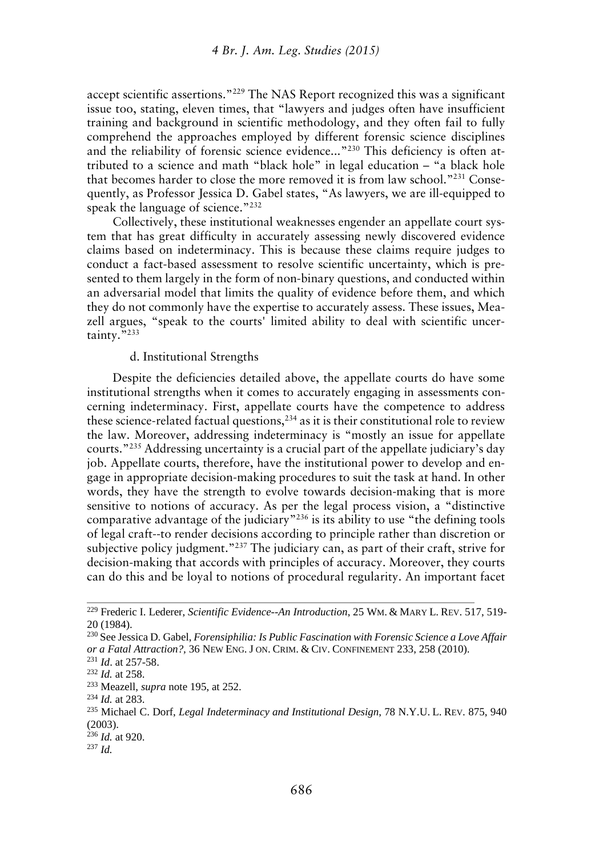accept scientific assertions."<sup>229</sup> The NAS Report recognized this was a significant issue too, stating, eleven times, that "lawyers and judges often have insufficient training and background in scientific methodology, and they often fail to fully comprehend the approaches employed by different forensic science disciplines and the reliability of forensic science evidence..."<sup>230</sup> This deficiency is often attributed to a science and math "black hole" in legal education – "a black hole that becomes harder to close the more removed it is from law school."<sup>231</sup> Consequently, as Professor Jessica D. Gabel states, "As lawyers, we are ill-equipped to speak the language of science."<sup>232</sup>

Collectively, these institutional weaknesses engender an appellate court system that has great difficulty in accurately assessing newly discovered evidence claims based on indeterminacy. This is because these claims require judges to conduct a fact-based assessment to resolve scientific uncertainty, which is presented to them largely in the form of non-binary questions, and conducted within an adversarial model that limits the quality of evidence before them, and which they do not commonly have the expertise to accurately assess. These issues, Meazell argues, "speak to the courts' limited ability to deal with scientific uncertainty."<sup>233</sup>

#### d. Institutional Strengths

Despite the deficiencies detailed above, the appellate courts do have some institutional strengths when it comes to accurately engaging in assessments concerning indeterminacy. First, appellate courts have the competence to address these science-related factual questions, $^{234}$  as it is their constitutional role to review the law. Moreover, addressing indeterminacy is "mostly an issue for appellate courts."<sup>235</sup> Addressing uncertainty is a crucial part of the appellate judiciary's day job. Appellate courts, therefore, have the institutional power to develop and engage in appropriate decision-making procedures to suit the task at hand. In other words, they have the strength to evolve towards decision-making that is more sensitive to notions of accuracy. As per the legal process vision, a "distinctive comparative advantage of the judiciary"<sup>236</sup> is its ability to use "the defining tools of legal craft--to render decisions according to principle rather than discretion or subjective policy judgment."<sup>237</sup> The judiciary can, as part of their craft, strive for decision-making that accords with principles of accuracy. Moreover, they courts can do this and be loyal to notions of procedural regularity. An important facet

<sup>229</sup> Frederic I. Lederer, *Scientific Evidence--An Introduction*, 25 WM. & MARY L. REV. 517, 519- 20 (1984).

<sup>230</sup> See Jessica D. Gabel, *Forensiphilia: Is Public Fascination with Forensic Science a Love Affair or a Fatal Attraction?,* 36 NEW ENG. J ON. CRIM. & CIV. CONFINEMENT 233, 258 (2010).

<sup>231</sup> *Id*. at 257-58.

<sup>232</sup> *Id.* at 258.

<sup>233</sup> Meazell, *supra* note 195, at 252.

<sup>234</sup> *Id.* at 283.

<sup>235</sup> Michael C. Dorf, *Legal Indeterminacy and Institutional Design*, 78 N.Y.U. L. REV. 875, 940 (2003).

<sup>236</sup> *Id.* at 920.

<sup>237</sup> *Id.*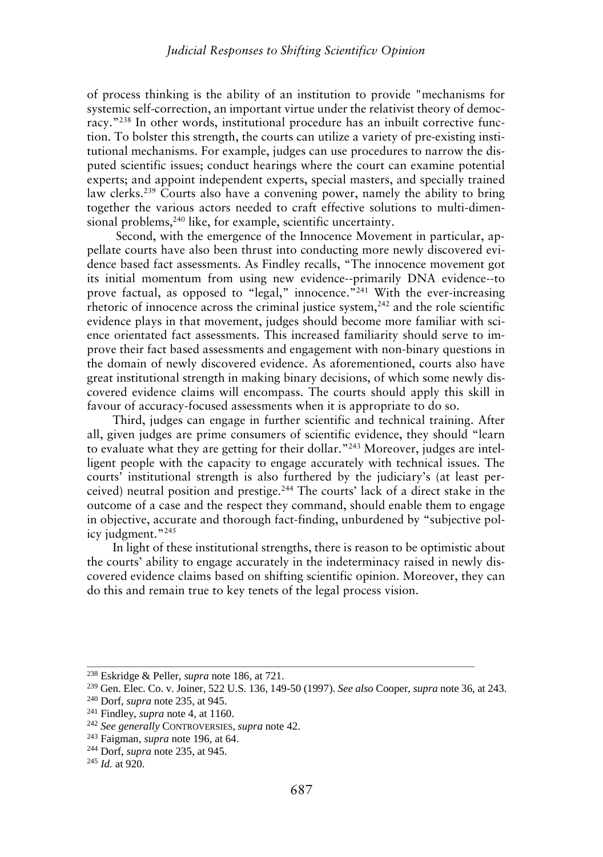of process thinking is the ability of an institution to provide "mechanisms for systemic self-correction, an important virtue under the relativist theory of democracy." <sup>238</sup> In other words, institutional procedure has an inbuilt corrective function. To bolster this strength, the courts can utilize a variety of pre-existing institutional mechanisms. For example, judges can use procedures to narrow the disputed scientific issues; conduct hearings where the court can examine potential experts; and appoint independent experts, special masters, and specially trained law clerks.<sup>239</sup> Courts also have a convening power, namely the ability to bring together the various actors needed to craft effective solutions to multi-dimensional problems,<sup>240</sup> like, for example, scientific uncertainty.

Second, with the emergence of the Innocence Movement in particular, appellate courts have also been thrust into conducting more newly discovered evidence based fact assessments. As Findley recalls, "The innocence movement got its initial momentum from using new evidence--primarily DNA evidence--to prove factual, as opposed to "legal," innocence."<sup>241</sup> With the ever-increasing rhetoric of innocence across the criminal justice system, $242$  and the role scientific evidence plays in that movement, judges should become more familiar with science orientated fact assessments. This increased familiarity should serve to improve their fact based assessments and engagement with non-binary questions in the domain of newly discovered evidence. As aforementioned, courts also have great institutional strength in making binary decisions, of which some newly discovered evidence claims will encompass. The courts should apply this skill in favour of accuracy-focused assessments when it is appropriate to do so.

Third, judges can engage in further scientific and technical training. After all, given judges are prime consumers of scientific evidence, they should "learn to evaluate what they are getting for their dollar."<sup>243</sup> Moreover, judges are intelligent people with the capacity to engage accurately with technical issues. The courts' institutional strength is also furthered by the judiciary's (at least perceived) neutral position and prestige.<sup>244</sup> The courts' lack of a direct stake in the outcome of a case and the respect they command, should enable them to engage in objective, accurate and thorough fact-finding, unburdened by "subjective policy judgment."<sup>245</sup>

In light of these institutional strengths, there is reason to be optimistic about the courts' ability to engage accurately in the indeterminacy raised in newly discovered evidence claims based on shifting scientific opinion. Moreover, they can do this and remain true to key tenets of the legal process vision.

<sup>238</sup> Eskridge & Peller, *supra* note 186, at 721.

<sup>239</sup> Gen. Elec. Co. v. Joiner, 522 U.S. 136, 149-50 (1997). *See also* Cooper, *supra* note 36, at 243.

<sup>240</sup> Dorf, *supra* note 235, at 945.

<sup>241</sup> Findley, *supra* note 4, at 1160.

<sup>242</sup> *See generally* CONTROVERSIES, *supra* note 42.

<sup>243</sup> Faigman, *supra* note 196, at 64.

<sup>244</sup> Dorf, *supra* note 235, at 945.

<sup>245</sup> *Id.* at 920.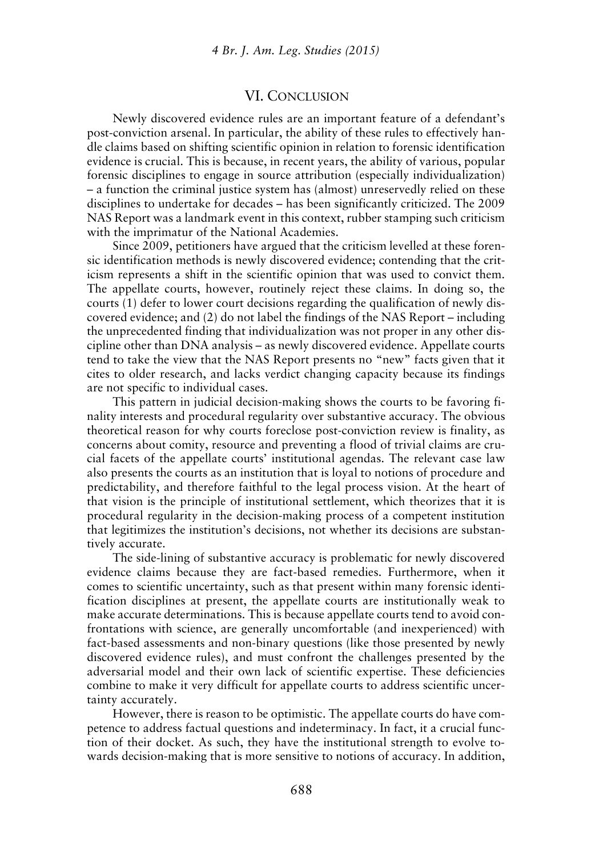### VI. CONCLUSION

Newly discovered evidence rules are an important feature of a defendant's post-conviction arsenal. In particular, the ability of these rules to effectively handle claims based on shifting scientific opinion in relation to forensic identification evidence is crucial. This is because, in recent years, the ability of various, popular forensic disciplines to engage in source attribution (especially individualization) – a function the criminal justice system has (almost) unreservedly relied on these disciplines to undertake for decades – has been significantly criticized. The 2009 NAS Report was a landmark event in this context, rubber stamping such criticism with the imprimatur of the National Academies.

Since 2009, petitioners have argued that the criticism levelled at these forensic identification methods is newly discovered evidence; contending that the criticism represents a shift in the scientific opinion that was used to convict them. The appellate courts, however, routinely reject these claims. In doing so, the courts (1) defer to lower court decisions regarding the qualification of newly discovered evidence; and (2) do not label the findings of the NAS Report – including the unprecedented finding that individualization was not proper in any other discipline other than DNA analysis – as newly discovered evidence. Appellate courts tend to take the view that the NAS Report presents no "new" facts given that it cites to older research, and lacks verdict changing capacity because its findings are not specific to individual cases.

This pattern in judicial decision-making shows the courts to be favoring finality interests and procedural regularity over substantive accuracy. The obvious theoretical reason for why courts foreclose post-conviction review is finality, as concerns about comity, resource and preventing a flood of trivial claims are crucial facets of the appellate courts' institutional agendas. The relevant case law also presents the courts as an institution that is loyal to notions of procedure and predictability, and therefore faithful to the legal process vision. At the heart of that vision is the principle of institutional settlement, which theorizes that it is procedural regularity in the decision-making process of a competent institution that legitimizes the institution's decisions, not whether its decisions are substantively accurate.

The side-lining of substantive accuracy is problematic for newly discovered evidence claims because they are fact-based remedies. Furthermore, when it comes to scientific uncertainty, such as that present within many forensic identification disciplines at present, the appellate courts are institutionally weak to make accurate determinations. This is because appellate courts tend to avoid confrontations with science, are generally uncomfortable (and inexperienced) with fact-based assessments and non-binary questions (like those presented by newly discovered evidence rules), and must confront the challenges presented by the adversarial model and their own lack of scientific expertise. These deficiencies combine to make it very difficult for appellate courts to address scientific uncertainty accurately.

However, there is reason to be optimistic. The appellate courts do have competence to address factual questions and indeterminacy. In fact, it a crucial function of their docket. As such, they have the institutional strength to evolve towards decision-making that is more sensitive to notions of accuracy. In addition,